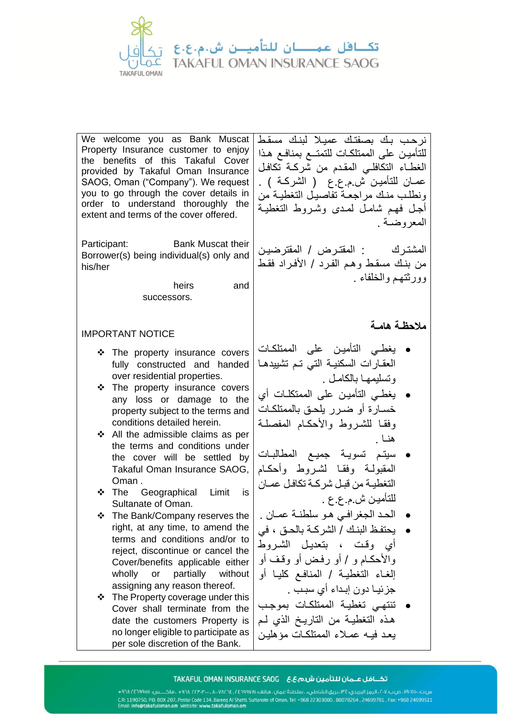

We welcome you as Bank Muscat Property Insurance customer to enjoy the benefits of this Takaful Cover provided by Takaful Oman Insurance SAOG, Oman ("Company"). We request you to go through the cover details in order to understand thoroughly the extent and terms of the cover offered.

Participant: Bank Muscat their Borrower(s) being individual(s) only and his/her

> heirs and successors.

## IMPORTANT NOTICE

- ❖ The property insurance covers fully constructed and handed over residential properties.
- ❖ The property insurance covers any loss or damage to the property subject to the terms and conditions detailed herein.
- ❖ All the admissible claims as per the terms and conditions under the cover will be settled by Takaful Oman Insurance SAOG, Oman .
- ❖ The Geographical Limit is Sultanate of Oman.
- ❖ The Bank/Company reserves the right, at any time, to amend the terms and conditions and/or to reject, discontinue or cancel the Cover/benefits applicable either wholly or partially without assigning any reason thereof.
- ❖ The Property coverage under this Cover shall terminate from the date the customers Property is no longer eligible to participate as per sole discretion of the Bank.

نرحـب بـك بصفتـك عميـال لبنـك مسقـط للتأميـن على الممتلكـات للتمتــع بمنافـع هـذا الغطـاء التكافلـي المقـدم من شركـة تكافـل عمـان للتأميـن ش.م.ع.ع ( الشركــة ) . ونطلـب منـك مراجعـة تفاصيـل التغطيـة من أجـل فهـم شامـل لمـدى وشـروط التغطيـة المعروضـة .

المشتـرك : المقتـرض / المقترضيـن من بنـك مسقـط وهـم الفـرد / األفـراد فقـط وورثتهـم والخلفاء .

**مالحظـة هامـة** 

- يغطـي التأميـن على الممتلكـات العقـارات السكنيـة التي تـم تشييدهـا وتسليمهـا بالكامـل .
- يغطـي التأميـن على الممتكلـات أي خسـارة أو ضـرر يلحـق بالممتلكـات وفقـا للشـروط والأحكـام المفصلـة هنـا .
- سيتـم تسويـة جميـع المطالبـات المقبولـة وفقـا لشـروط وأحكـام التغطيـة من قبـل شركـة تكافـل عمـان للتأميـن ش.م.ع.ع .
- الحـد الجغرافـي هـو سلطنـة عمـان .
- يحتفـظ البنـك / الشركـة بالحـق ، في أي وقت ، بتعديـل الشـروط واألحكـام و / أو رفـض أو وقـف أو إلغـاء التغطيـة / المنافـع كليـا أو جزئيـا دون إبـداء أي سبـب .
- تنتهـي تغطيـة الممتلكـات بموجـب هـذه التغطيـة من التاريـخ الذي لـم يعـد فيـه عمـالء الممتلكـات مؤهليـن

#### تكافل علمان للتأمين ش.م.ع.ع. TAKAFUL OMAN INSURANCE SAOG E.E.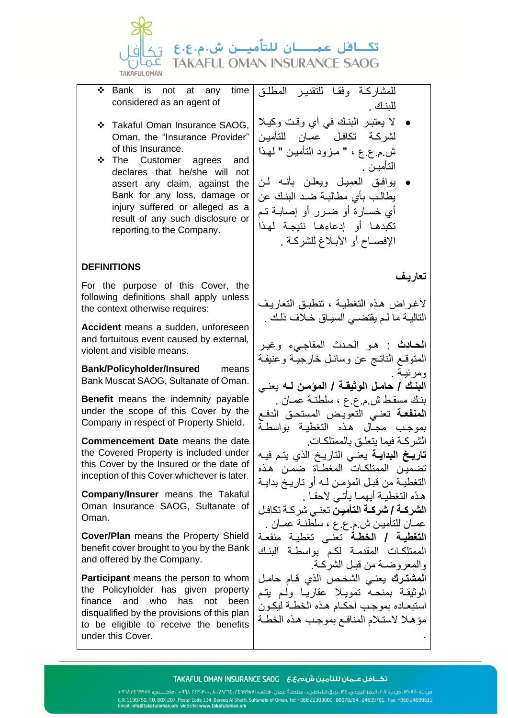

❖ Bank is not at any time considered as an agent of

- ❖ Takaful Oman Insurance SAOG, Oman, the "Insurance Provider" of this Insurance.
- ❖ The Customer agrees and declares that he/she will not assert any claim, against the Bank for any loss, damage or injury suffered or alleged as a result of any such disclosure or reporting to the Company.

## **DEFINITIONS**

For the purpose of this Cover, the following definitions shall apply unless the context otherwise requires:

**Accident** means a sudden, unforeseen and fortuitous event caused by external, violent and visible means.

**Bank/Policyholder/Insured** means Bank Muscat SAOG, Sultanate of Oman.

**Benefit** means the indemnity payable under the scope of this Cover by the Company in respect of Property Shield.

**Commencement Date** means the date the Covered Property is included under this Cover by the Insured or the date of inception of this Cover whichever is later.

**Company/Insurer** means the Takaful Oman Insurance SAOG, Sultanate of Oman.

**Cover/Plan** means the Property Shield benefit cover brought to you by the Bank and offered by the Company.

**Participant** means the person to whom the Policyholder has given property finance and who has not been disqualified by the provisions of this plan to be eligible to receive the benefits under this Cover.

للمشاركـة وفقـا للتقديـر المطلـق للبنـك .

تكافل عمــان للتأميــن ش.م.ع.ع **TAKAFUL OMAN INSURANCE SAOG** 

> • ال يعتبـر البنـك في أي وقـت وكيـال لشركـة تكافـل عمـان للتأميـن ش.م.ع.ع ، " مـزود التأميـن " لهـذا التأمين

> • يوافـق العميـل ويعلـن بأنـه لـن يطالـب بأي مطالبـة ضـد البنـك عن أي خسـارة أو ضـرر أو إصابـة تـم تكبدهـا أو إدعاءهـا نتيجـة لهـذا الإفصــاح أو الأبــلاغ للشركــة .

> > **تعاريـف**

ألغـراض هـذه التغطيـة ، تنطبـق التعاريـف التاليـة ما لـم يقتضـي السيـاق خـالف ذلـك .

ا**لحـادث** : هـو الحـدث المفاجـيء وغيـر المتوقـع الناتـج عن وسائـل خارجيـة وعنيفـة ومرئيـة . **البنـك / حامـل الوثيقـة / المؤمـن لـه** يعنـي بنـك مسقـط ش.م.ع.ع ، سلطنـة عمـان . **المنفعـة** تعنـي التعويـض المستحـق الدفـع بموجـب مجـال هـذه التغطيـة بواسطـة الشركـة فيما يتعلـق بالممتلكـات. **تاريـخ البدايـة** يعنـي التاريـخ الذي يتـم فيـه تضميـن الممتلكـات المغطـاة ضمـن هـذه التغطيـة من قبـل المؤمـن لـه أو تاريـخ بدايـة هـذه التغطيـة أيهمـا يأتـي الحقـا . **الشركـة / شركـة التأميـن** تعنـي شركـة تكافـل عمـان للتأميـن ش.م.ع.ع ، سلطنـة عمـان . **التغطيـة / الخطـة** تعنـي تغطيـة منفعـة الممتلكـات المقدمـة لكـم بواسطـة البنـك والمعروضـة من قبـل الشركـة. ا**لمشتـرك** يعنـي الشخـص الذي قـام حامـل الوثيقـة بمنحـه تمويـال عقاريـا ولـم يتـم استبعـاده بموجـب أحكـام هـذه الخطــة ليكـون مؤهـال الستـالم المنافـع بموجـب هـذه الخطـة .

#### تكــافل عــمان للتأمين ش.م.ع.ع TAKAFUL OMAN INSURANCE SAOG \_\_\_\_\_\_\_\_\_\_\_\_\_\_\_\_\_\_\_\_\_\_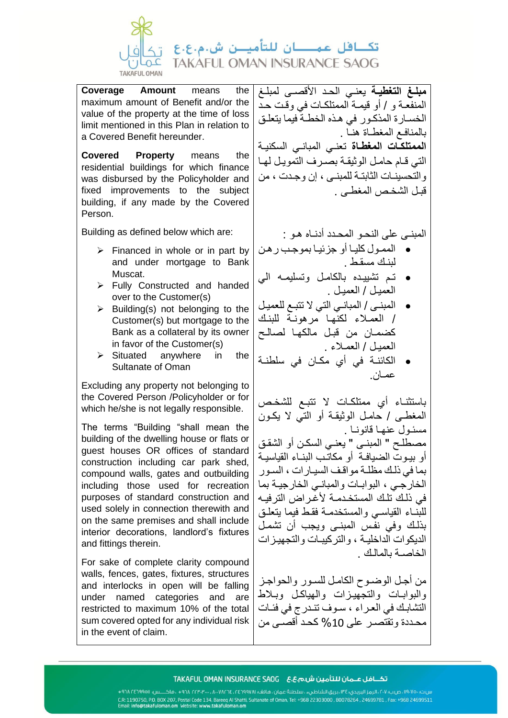

**Coverage Amount** means the maximum amount of Benefit and/or the value of the property at the time of loss limit mentioned in this Plan in relation to a Covered Benefit hereunder.

**Covered Property** means the residential buildings for which finance was disbursed by the Policyholder and fixed improvements to the subject building, if any made by the Covered Person.

Building as defined below which are:

- $\triangleright$  Financed in whole or in part by and under mortgage to Bank Muscat.
- ➢ Fully Constructed and handed over to the Customer(s)
- $\triangleright$  Building(s) not belonging to the Customer(s) but mortgage to the Bank as a collateral by its owner in favor of the Customer(s)
- ➢ Situated anywhere in the Sultanate of Oman

Excluding any property not belonging to the Covered Person /Policyholder or for which he/she is not legally responsible.

The terms "Building "shall mean the building of the dwelling house or flats or guest houses OR offices of standard construction including car park shed, compound walls, gates and outbuilding including those used for recreation purposes of standard construction and used solely in connection therewith and on the same premises and shall include interior decorations, landlord's fixtures and fittings therein.

For sake of complete clarity compound walls, fences, gates, fixtures, structures and interlocks in open will be falling under named categories and are restricted to maximum 10% of the total sum covered opted for any individual risk in the event of claim.

**مبلـغ التغطيـة** يعنـي الحـد األقصـى لمبلـغ المنفعـة و / أو قيمـة الممتلكـات في وقـت حـد الخسـارة المذكـور في هـذه الخطـة فيما يتعلـق بالمنافـع المغطـاة هنـا . **الممتلكـات المغطـاة** تعنـي المبانـي السكنيـة التي قـام حامـل الوثيقـة بصـرف التمويـل لهـا والتحسينـات الثابتـة للمبنـى ، إن وجـدت ، من قبـل الشخـص المغطـى .

المبنـى على النحـو المحـدد أدنـاه هـو :

- الممـول كليـا أو جزئيـا بموجـب رهـن لبنـك مسقـط .
- تـم تشييـده بالكامـل وتسليمـه الي العميـل / العميـل .
- المبنـى / المبانـي التي ال تتبـع للعميـل / العمـالء لكنهـا مرهونـة للبنـك كضمـان من قبـل مالكهـا لصالـح العميـل / العمـالء .
- الكائنـة في أي مكـان في سلطنـة عمـان .

باستثنـاء أي ممتلكـات ال تتبـع للشخـص المغطـى / حامـل الوثيقـة أو التي ال يكـون مسئـول عنهـا قانونـا . مصطلـح " المبنـى " يعنـي السكـن أو الشقـق أو بيـوت الضيافـة أو مكاتـب البنـاء القياسيـة بما في ذلـك مظلـة مواقـف السيـارات ، السـور الخارجـي ، البوا بـات والمبانـي الخارجيـة بما في ذلـك تلـك المستخـدمـة ألغـراض الترفيـه للبنـاء القياسـي والمستخدمـة فقـط فيما يتعلـق بذلـك وفي نفـس المبنـى ويجب أن تشمـل الديكوات الداخليـة ، والتركيبـات والتجهيـزات الخاصـة بالمالـك .

من أجـل الوضـوح الكامـل للسـور والحواجـز والبوابـات والتجهيـزات والهياكـل وبـالط التشابـك في العـراء ، سـوف تنـدرج في فئـات محـددة وتقتصـر على %10 كحـد أقصـى من

#### تكافل علمان للتأمين ش.م.ع.ع. TAKAFUL OMAN INSURANCE SAOG E.E.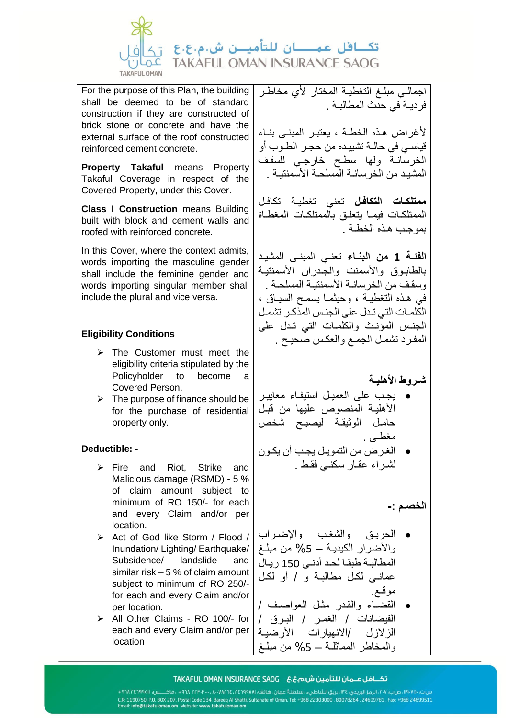

For the purpose of this Plan, the building shall be deemed to be of standard construction if they are constructed of brick stone or concrete and have the external surface of the roof constructed reinforced cement concrete.

**Property Takaful** means Property Takaful Coverage in respect of the Covered Property, under this Cover.

**Class I Construction** means Building built with block and cement walls and roofed with reinforced concrete.

In this Cover, where the context admits, words importing the masculine gender shall include the feminine gender and words importing singular member shall include the plural and vice versa.

## **Eligibility Conditions**

- ➢ The Customer must meet the eligibility criteria stipulated by the Policyholder to become a Covered Person.
- $\triangleright$  The purpose of finance should be for the purchase of residential property only.

## **Deductible: -**

- ➢ Fire and Riot, Strike and Malicious damage (RSMD) - 5 % of claim amount subject to minimum of RO 150/- for each and every Claim and/or per location.
- ➢ Act of God like Storm / Flood / Inundation/ Lighting/ Earthquake/ Subsidence/ landslide and similar risk – 5 % of claim amount subject to minimum of RO 250/ for each and every Claim and/or per location.
- ➢ All Other Claims RO 100/- for each and every Claim and/or per location

اجمالـي مبلـغ التغطيـة المختار ألي مخاطـر فرديـة في حدث المطالبـة .

لأغراض هذه الخطـة ، يعتبـر المبنـى بنـاء قياسـي في حالـة تشييـده من حجـر الطـوب أو الخرسانـة ولها سطـح خارجـي للسقـف المشبـد من الخر سانــة المسلحــة الأسمنتبــة .

**ممتلكـات التكافـل** تعني تغطيـة تكافـل الممتلكـات فيمـا يتعلـق بالممتلكـات المغطـاة بموجـب هـذه الخطـة .

**الفئـة 1 من البنـاء** تعنـي المبنـى المشيـد بالطابـوق واألسمنت والجـدران األسمنتيـة وسقف من الخر سانـة الأسمنتيـة المسلحـة . في هـذه التغطيـة ، وحيثمـا يسمـح السيـاق ، الكلمـات التي تـدل على الجنـس المذكـر تشمـل الجنـس المؤنـث والكلمـات التي تـدل على المفـرد تشمـل الجمـع والعكـس صحيـح .

## **شـروط األهليـة**

- يجـب على العميـل استيفـاء معاييـر األهليـة المنصوص عليها من قبـل حامـل الوثيقـة ليصبـح شخص مغطـى . • الغـرض من التمويـل يجـب أن يكـون
- لشـراء عقـار سكنـي فقـط .

**الخصـم -:** 

- الحريـق والشغـب واإلضـراب واألضرار الكيديـة – %5 من مبلـغ المطالبـة طبقـا لحـد أدنـى 150 ريـال عمانـي لكـل مطالبـة و / أو لكـل موقـع.
- القضـاء والقـدر مثـل العواصـف / الفيضانات / الغمـر / البـرق / الزلازل /الانهيارات الأرضيـة والمخاطر المماثلـة – %5 من مبلـغ

#### تكــافل عــمان للتأمين ش.م.ع.ع. TAKAFUL OMAN INSURANCE SAOG \_\_\_\_\_\_\_\_\_\_\_\_\_\_\_\_\_\_\_\_\_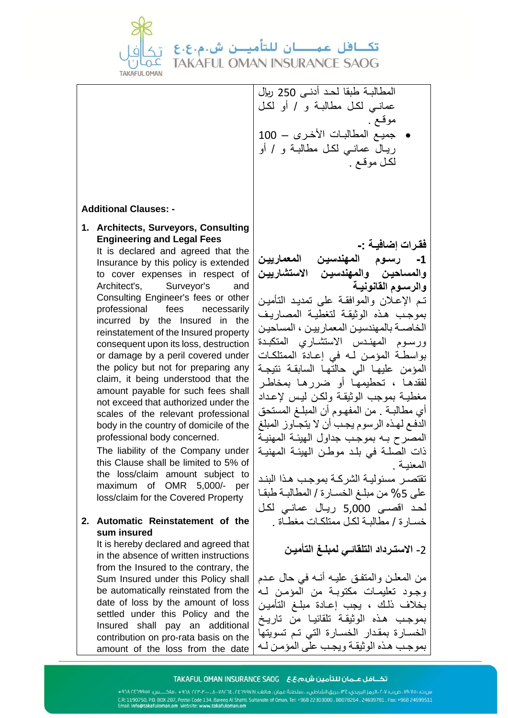

تكافل عمــان للتأميــن ش.م.ع.ع **TAKAFUL OMAN INSURANCE SAOG** 

> المطالبـة طبقا لحـد أدنـى 250 لاير عمانـي لكـل مطالبـة و / أو لكـل موقـع .

• جميـع المطالبـات األخـرى – 100 ريـال عمانـي لكـل مطالبـة و / أو لكـل موقـع .

## **Additional Clauses: -**

**1. Architects, Surveyors, Consulting Engineering and Legal Fees** 

It is declared and agreed that the Insurance by this policy is extended to cover expenses in respect of Architect's, Surveyor's and Consulting Engineer's fees or other professional fees necessarily incurred by the Insured in the reinstatement of the Insured property consequent upon its loss, destruction or damage by a peril covered under the policy but not for preparing any claim, it being understood that the amount payable for such fees shall not exceed that authorized under the scales of the relevant professional body in the country of domicile of the professional body concerned.

The liability of the Company under this Clause shall be limited to 5% of the loss/claim amount subject to maximum of OMR 5,000/- per loss/claim for the Covered Property

## **2. Automatic Reinstatement of the sum insured**

It is hereby declared and agreed that in the absence of written instructions from the Insured to the contrary, the Sum Insured under this Policy shall be automatically reinstated from the date of loss by the amount of loss settled under this Policy and the Insured shall pay an additional contribution on pro-rata basis on the amount of the loss from the date

**فقـرات إضافيـة -: -1 رسـوم المهندسيـن المعمارييـن والمساحيـن والمهندسيـن االستشارييـن والرسـوم القانونيـة** تـم اإلعـالن والموافقـة على تمديـد التأميـن بموجـب هـذه الوثيقـة لتغطيـة المصاريـف الخاصـة بالمهندسيـن المعمارييـن ، المساحيـن ورسـوم المهنـدس االستشـاري المتكبـدة بواسطـة المؤمـن لـه في إعـادة الممتلكـات المؤمن عليهـا الي حالتهـا السابقـة نتيجـة لفقدهـا ، تحطيمهـا أو ضررهـا بمخاطـر مغطيـة بموجب الوثيقـة ولكـن ليـس إلعـداد أي مطالبـة . من المفهـوم أن المبلـغ المستحق الدفـع لهـذه الرسوم يجـب أن ال يتجـاوز المبلغ المصرح بـه بموجـب جداول الهيئـة المهنيـة ذات الصلـة في بلـد موطـن الهيئـة المهنيـة المعنيـة . تقتصـر مسئوليـة الشركـة بموجـب هـذا البنـد على %5 من مبلـغ الخسـارة / المطالبـة طبقـا لحـد اقصـى 5,000 ريـال عمانـي لكـل

-2 **االستـرداد التلقائـي لمبلـغ التأميـن** 

خسـارة / مطالبـة لكـل ممتلكـات مغطـاة .

من المعلـن والمتفـق عليـه أنـه في حال عـدم وجـود تعليمـات مكتوبـة من المؤمـن لـه بخالف ذلـك ، يجب إعـادة مبلـغ التأميـن بموجـب هـذه الوثيقـة تلقائيـا من تاريـخ الخسـارة بمقـدار الخسـارة التي تـم تسويتها بموجـب هـذه الوثيقـة ويجـب على المؤمـن لـه

####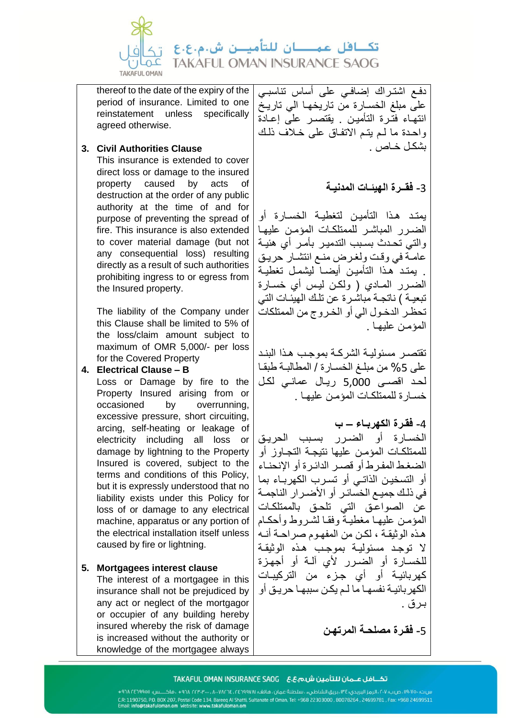

thereof to the date of the expiry of the period of insurance. Limited to one reinstatement unless specifically agreed otherwise.

## **3. Civil Authorities Clause**

This insurance is extended to cover direct loss or damage to the insured property caused by acts of destruction at the order of any public authority at the time of and for purpose of preventing the spread of fire. This insurance is also extended to cover material damage (but not any consequential loss) resulting directly as a result of such authorities prohibiting ingress to or egress from the Insured property.

The liability of the Company under this Clause shall be limited to 5% of the loss/claim amount subject to maximum of OMR 5,000/- per loss for the Covered Property

## **4. Electrical Clause – B**

Loss or Damage by fire to the Property Insured arising from or occasioned by overrunning, excessive pressure, short circuiting, arcing, self-heating or leakage of electricity including all loss or damage by lightning to the Property Insured is covered, subject to the terms and conditions of this Policy, but it is expressly understood that no liability exists under this Policy for loss of or damage to any electrical machine, apparatus or any portion of the electrical installation itself unless caused by fire or lightning.

## **5. Mortgagees interest clause**

The interest of a mortgagee in this insurance shall not be prejudiced by any act or neglect of the mortgagor or occupier of any building hereby insured whereby the risk of damage is increased without the authority or knowledge of the mortgagee always دفـع اشتـراك إضافـي على أساس تناسبـي على مبلغ الخسـارة من تاريخهـا الي تاريـخ انتهـاء فتـرة التأميـن . يقتصـر على إعـادة واحـدة ما لـم يتـم االتفـاق على خـالف ذلـك بشكـل خـاص .

-3 **فقــرة الهيئـات المدنيـة**

يمتـد هـذا التأميـن لتغطيـة الخسـارة أو الضـرر المباشـر للممتلكـات المؤمـن عليهـا والتي تحـدث بسـبب التدميـر بأمـر أي هئيـة عامـة في وقـت ولغـرض منـع انتشـار حريـق . يمتـد هـذا التأميـن أيضـا ليشمـل تغطيـة الضـرر المـادي ) ولكـن ليـس أي خسـارة تبعيـة ) ناتجـة مباشـرة عن تلـك الهيئـات التي تحظـر الدخـول الي أو الخـروج من الممتلكات المؤمـن عليهـا .

تقتصـر مسئوليـة الشركـة بموجـب هـذا البنـد على %5 من مبلـغ الخسـارة / المطالبـة طبقـا لحـد اقصـى 5,000 ريـال عمانـي لكـل خسـارة للممتلكـات المؤمـن عليهـا .

-4 **فقـرة الكهربـاء – ب** 

الخسـارة أو الضـرر بسـبب الحريـق للممتلكـات المؤمـن عليها نتيجـة التجـاوز أو الضغـط المفـرط أو قصـر الدائـرة أو اإلنحنـاء أو التسخيـن الذاتـي أو تسـرب الكهربـاء بما في ذلـك جميـع الخسائـر أو األضـرار الناجمـة عن الصواعـق التي تلحـق بالممتلكـات المؤمـن عليهـا مغطيـة وفقـا لشـروط وأحكـام هـذه الوثيقـة ، لكـن من المفهـوم صراحـة أنـه ال توجـد مسئوليـة بموجـب هـذه الوثيقـة للخسـارة أو الضـرر ألي آلـة أو أجهـزة كهربائيـة أو أي جـزء من التركيبـات الكهربائيـة نفسهـا ما لـم يكـن سببهـا حريـق أو بـرق .

-5 **فقـرة مصلحـة المرتهـن** 

####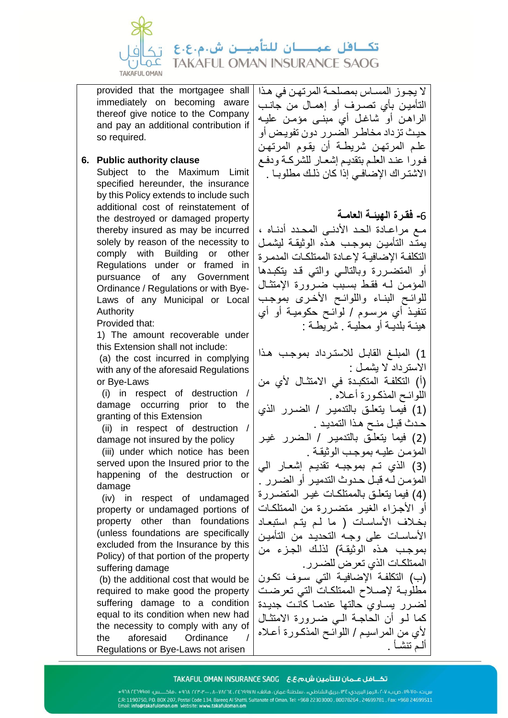

provided that the mortgagee shall immediately on becoming aware thereof give notice to the Company and pay an additional contribution if so required.

## **6. Public authority clause**

Subject to the Maximum Limit specified hereunder, the insurance by this Policy extends to include such additional cost of reinstatement of the destroyed or damaged property thereby insured as may be incurred solely by reason of the necessity to comply with Building or other Regulations under or framed in pursuance of any Government Ordinance / Regulations or with Bye-Laws of any Municipal or Local Authority

Provided that:

1) The amount recoverable under this Extension shall not include:

(a) the cost incurred in complying with any of the aforesaid Regulations or Bye-Laws

 (i) in respect of destruction / damage occurring prior to the granting of this Extension

 (ii) in respect of destruction / damage not insured by the policy

 (iii) under which notice has been served upon the Insured prior to the happening of the destruction or damage

 (iv) in respect of undamaged property or undamaged portions of property other than foundations (unless foundations are specifically excluded from the Insurance by this Policy) of that portion of the property suffering damage

(b) the additional cost that would be required to make good the property suffering damage to a condition equal to its condition when new had the necessity to comply with any of the aforesaid Ordinance Regulations or Bye-Laws not arisen

ال يجـوز المسـاس بمصلحـة المرتهـن في هـذا التأميـن بأي تصـرف أو إهمـال من جانـب الراهـن أو شاغـل أي مبنـى مؤمـن عليـه حيـث تزداد مخاطـر الضـرر دون تفويـض أو علـم المرتهـن شريطـة أن يقـوم المرتهـن فـورا عنـد العلـم بتقديـم إشعـار للشركـة ودفـع االشتـراك اإلضافـي إذا كان ذلـك مطلوبـا .

**-**6 **فقـرة الهيئـة العامـة** مـع مراعـادة الحـد األدنـى المحـدد أدنـاه ، يمتـد التأميـن بموجـب هـذه الوثيقـة ليشمـل التكلفـة اإلضافيـة إلعـادة الممتلكـات المدمـرة أو المتضـررة وبالتالـي والتي قـد يتكبـدها المؤمـن لـه فقـط بسـبب ضـرورة اإلمتثـال للوائـح البنـاء واللوائـح األخـرى بموجـب تنفيـذ أي مرسـوم / لوائـح حكوميـة أو أي هيئـة بلديـة أو محليـة . شريطـة :

1( المبلـغ القابـل لالستـرداد بموجـب هـذا االسترداد ال يشمـل : )أ( التكلفـة المتكبـدة في االمتثـال ألي من اللوائـح المذكـورة أعـاله . )1( فيمـا يتعلـق بالتدميـر / الضـرر الذي حـدث قبـل منـح هـذا التمديـد . )2( فيما يتعلـق بالتدميـر / الـضرر غيـر المؤمـن عليـه بموجـب الوثيقـة . )3( الذي تـم بموجبـه تقديـم إشعـار الي المؤمـن لـه قبـل حـدوث التدميـر أو الضـرر . )4( فيما يتعلـق بالممتلكـات غيـر المتضـررة أو األجـزاء الغيـر متضـررة من الممتلكـات بخـالف األساسـات ) ما لـم يتـم استبعـاد األساسـات على وجـه التحديـد من التأميـن بموجـب هـذه الوثيقـة( لذلـك الجـزء من الممتلكـات الذي تعرض للضـرر. )ب( التكلفـة اإلضافيـة التي سـوف تكـون مطلوبـة إلصـالح الممتلكـات التي تعرضـت لضـرر يسـاوي حالتها عندمـا كانـت جديـدة كما لـو أن الحاجـة الـي ضـرورة االمتثـال ألي من المراسيـم / اللوائـح المذكـورة أعـاله ألـم تنشـأ .

####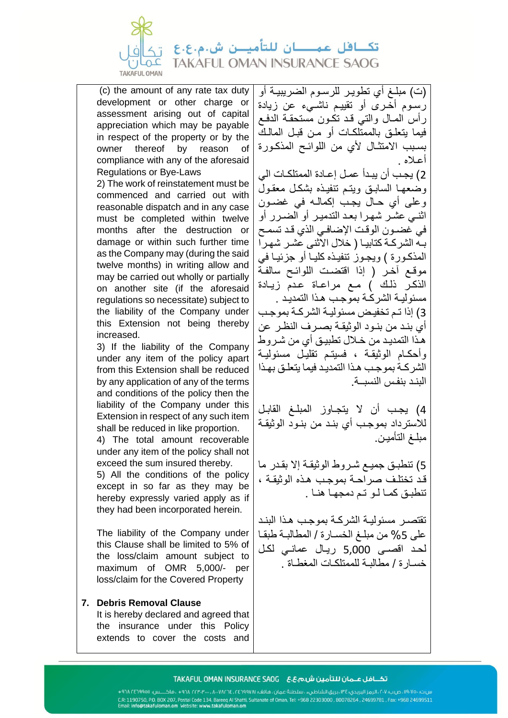

تكــاقل عهــــان للتأميــن ش.م.ع.ع **TAKAFUL OMAN INSURANCE SAOG** 

(c) the amount of any rate tax duty development or other charge or assessment arising out of capital appreciation which may be payable in respect of the property or by the owner thereof by reason of compliance with any of the aforesaid Regulations or Bye-Laws

2) The work of reinstatement must be commenced and carried out with reasonable dispatch and in any case must be completed within twelve months after the destruction or damage or within such further time as the Company may (during the said twelve months) in writing allow and may be carried out wholly or partially on another site (if the aforesaid regulations so necessitate) subject to the liability of the Company under this Extension not being thereby increased.

3) If the liability of the Company under any item of the policy apart from this Extension shall be reduced by any application of any of the terms and conditions of the policy then the liability of the Company under this Extension in respect of any such item shall be reduced in like proportion.

4) The total amount recoverable under any item of the policy shall not exceed the sum insured thereby.

5) All the conditions of the policy except in so far as they may be hereby expressly varied apply as if they had been incorporated herein.

The liability of the Company under this Clause shall be limited to 5% of the loss/claim amount subject to maximum of OMR 5,000/- per loss/claim for the Covered Property

## **7. Debris Removal Clause**

It is hereby declared and agreed that the insurance under this Policy extends to cover the costs and )ت( مبلـغ أي تطويـر للرسـوم الضريبيـة أو رسـوم أخـرى أو تقييـم ناشـيء عن زيادة رأس المـال والتي قـد تكـون مستحقـة الدفـع فيما يتعلـق بالممتلكـات أو مـن قبـل المالـك بسـبب االمتثـال ألي من اللوائـح المذكـورة أعـاله .

2( يجـب أن يبـدأ عمـل إعـادة الممتلكـات الي وضعهـا السابـق ويتـم تنفيـذه بشكـل معقـول وعلى أي حـال يجـب إكمالـه في غضـون اثنـي عشـر شهـرا بعـد التدميـر أو الضـرر أو في غضـون الوقـت اإلضافـي الذي قـد تسمـح بـه الشركـة كتابيـا ) خالل االثنى عشـر شهـرا المذكـورة ) ويجـوز تنفيـذه كليـا أو جزئيـا في موقـع آخـر ) إذا اقتضـت اللوائـح سالفـة الذكـر ذلـك ( مـع مراعـاة عـدم زيـادة مسئوليـة الشركـة بموجـب هـذا التمديـد . 3( إذا تـم تخفيـض مسئوليـة الشركـة بموجـب أي بنـد من بنـود الوثيقـة بصـرف النظـر عن هـذا التمديـد من خـالل تطبيـق أي من شـروط وأحكـام الوثيقـة ، فسيتـم تقليـل مسئوليـة الشركـة بموجـب هـذا التمديـد فيما يتعلـق بهـذا البنـد بنفـس النسبــة.

4( يجـب أن ال يتجـاوز المبلـغ القابـل لالسترداد بموجـب أي بنـد من بنـود الوثيقـة مبلـغ التأميـن.

5( تنطبـق جميـع شـروط الوثيقـة إال بقـدر ما قـد تختلـف صراحـة بموجـب هـذه الوثيقـة ، تنطبـق كمـا لـو تـم دمجهـا هنـا .

تقتصـر مسئوليـة الشركـة بموجـب هـذا البنـد على %5 من مبلـغ الخسـارة / المطالبـة طبقـا لحـد اقصـى 5,000 ريـال عمانـي لكـل خسـارة / مطالبـة للممتلكـات المغطـاة .

#### تكــافل عــمان للتأمين ش.م.ع.ع TAKAFUL OMAN INSURANCE SAOG \_\_\_\_\_\_\_\_\_\_\_\_\_\_\_\_\_\_\_\_\_\_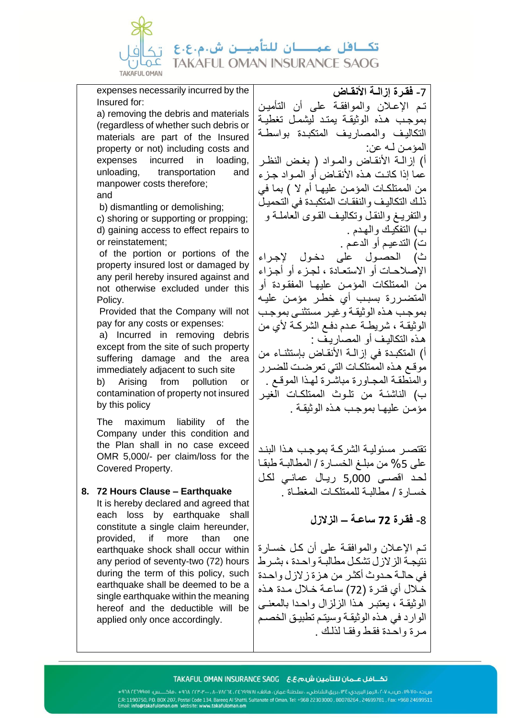

expenses necessarily incurred by the Insured for:

a) removing the debris and materials (regardless of whether such debris or materials are part of the Insured property or not) including costs and expenses incurred in loading, unloading, transportation and manpower costs therefore;

and

b) dismantling or demolishing;

c) shoring or supporting or propping; d) gaining access to effect repairs to or reinstatement;

of the portion or portions of the property insured lost or damaged by any peril hereby insured against and not otherwise excluded under this Policy.

Provided that the Company will not pay for any costs or expenses:

a) Incurred in removing debris except from the site of such property suffering damage and the area immediately adjacent to such site b) Arising from pollution or contamination of property not insured

by this policy

The maximum liability of the Company under this condition and the Plan shall in no case exceed OMR 5,000/- per claim/loss for the Covered Property.

## **8. 72 Hours Clause – Earthquake**

It is hereby declared and agreed that each loss by earthquake shall constitute a single claim hereunder, provided, if more than one earthquake shock shall occur within any period of seventy-two (72) hours during the term of this policy, such earthquake shall be deemed to be a single earthquake within the meaning hereof and the deductible will be applied only once accordingly.

-7 **فقـرة إزالـة األنقـاض** تـم اإلعـالن والموافقـة على أن التأميـن بموجـب هـذه الوثيقـة يمتـد ليشمـل تغطيـة التكاليـف والمصاريـف المتكبـدة بواسطـة المؤمـن لـه عن: أ) إزالـة الأنقـاض والمـواد ( بغـض النظـر عما إذا كانـت هـذه األنقـاض أو المـواد جـزء من الممتلكـات المؤمـن عليهـا أم لا ) بمـا في ذلـك التكاليـف والنفقـات المتكبـدة في التحميـل والتفريـغ والنقـل وتكاليـف القـوى العاملـة و ب) التفكيك والهـدم . ت) التدعيـم أو الدعـم . ث( الحصـول على دخـول إلجـراء اإلصالحـات أو االستعـادة ، لجـزء أو أجـزاء من الممتلكات المؤمـن عليهـا المفقـودة أو المتضـررة بسبـب أي خطـر مؤمـن عليـه بموجـب هـذه الوثيقـة وغيـر مستثنـى بموجـب الوثيقـة ، شريطـة عـدم دفـع الشركـة ألي من هـذه التكاليـف أو المصاريـف : أ) المتكبـدة في إزالـة الأنقـاض بإستثنـاء من موقـع هـذه الممتلكـات التي تعرضـت للضـرر والمنطقـة المجـاورة مباشـرة لهـذا الموقـع . ب( الناشئـة من تلـوث الممتلكـات الغيـر مؤمـن عليهـا بموجـب هـذه الوثيقـة .

تقتصـر مسئوليـة الشركـة بموجـب هـذا البنـد على %5 من مبلـغ الخسـارة / المطالبـة طبقـا لحـد اقصـى 5,000 ريـال عمانـي لكـل خسـارة / مطالبـة للممتلكـات المغطـاة .

## -8 **فقـرة 72 ساعـة – الزالزل**

تـم اإلعـالن والموافقـة على أن كـل خسـارة نتيجـة الزالزل تشكـل مطالبـة واحـدة ، بشـرط في حالـة حـدوث أكثـر من هـزة زالزل واحـدة خـالل أي فتـرة )72( ساعـة خـالل مـدة هـذه الوثيقـة ، يعتبـر هـذا الزلزال واحـدا بالمعنـى الوارد في هـذه الوثيقـة وسيتـم تطبيـق الخصـم مـرة واحـدة فقـط وفقـا لذلـك .

####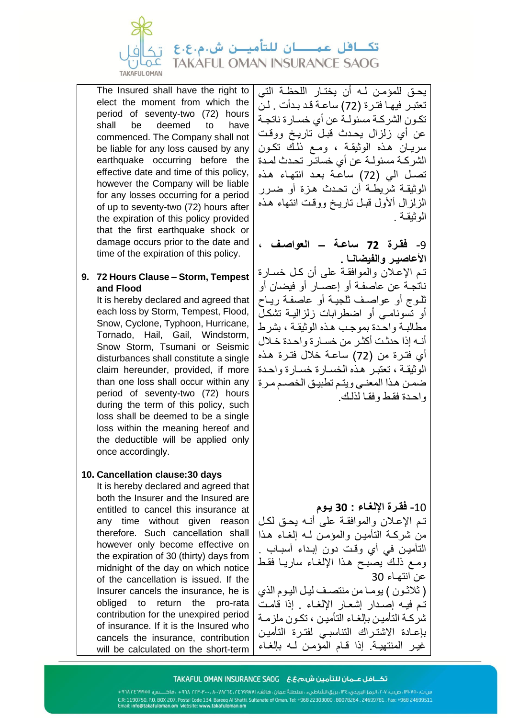

The Insured shall have the right to elect the moment from which the period of seventy-two (72) hours shall be deemed to have commenced. The Company shall not be liable for any loss caused by any earthquake occurring before the effective date and time of this policy, however the Company will be liable for any losses occurring for a period of up to seventy-two (72) hours after the expiration of this policy provided that the first earthquake shock or damage occurs prior to the date and time of the expiration of this policy.

## **9. 72 Hours Clause – Storm, Tempest and Flood**

It is hereby declared and agreed that each loss by Storm, Tempest, Flood, Snow, Cyclone, Typhoon, Hurricane, Tornado, Hail, Gail, Windstorm, Snow Storm, Tsumani or Seismic disturbances shall constitute a single claim hereunder, provided, if more than one loss shall occur within any period of seventy-two (72) hours during the term of this policy, such loss shall be deemed to be a single loss within the meaning hereof and the deductible will be applied only once accordingly.

## **10. Cancellation clause:30 days**

It is hereby declared and agreed that both the Insurer and the Insured are entitled to cancel this insurance at any time without given reason therefore. Such cancellation shall however only become effective on the expiration of 30 (thirty) days from midnight of the day on which notice of the cancellation is issued. If the Insurer cancels the insurance, he is obliged to return the pro-rata contribution for the unexpired period of insurance. If it is the Insured who cancels the insurance, contribution will be calculated on the short-term يحـق للمؤمـن لـه أن يختـار اللحظـة التي تعتبـر فيهـا فتـرة )72( ساعـة قـد بـدأت . لـن تكـون الشركـة مسئولـة عن أي خسـارة ناتجـة عن أي زلزال يحـدث قبـل تاريـخ ووقـت سريـان هـذه الوثيقـة ، ومـع ذلـك تكـون الشركـة مسئولـة عن أي خسائـر تحـدث لمـدة تصـل الي )72( ساعـة بعـد انتهـاء هـذه الوثيقـة شريطـة أن تحـدث هـزة أو ضـرر الزلزال أألول قبـل تاريـخ ووقـت انتهاء هـذه الوثيقـة .

-9 **فقـرة 72 ساعـة – العواصـف ، األعاصيـر والفيضانـا .**  تـم اإلعـالن والموافقـة على أن كـل خسـارة ناتجـة عن عاصفـة أو إعصـار أو فيضان أو ثلـوج أو عواصـف ثلجيـة أو عاصفـة ريـاح أو تسونامـي أو اضطرابات زلزاليـة تشكـل مطالبـة واحـدة بموجـب هـذه الوثيقـة ، بشرط أنـه إذا حدثـت أكثـر من خسـارة واحـدة خـالل أي فتـرة من )72( ساعـة خالل فتـرة هـذه الوثيقـة ، تعتبـر هـذه الخسـارة خسـارة واحـدة ضمـن هـذا المعنـى ويتـم تطبيـق الخصـم مـرة واحـدة فقـط وفقـا لذلـك.

-10 **فقـرة اإللغـاء : 30 يـوم**  تـم اإلعـالن والموافقـة على أنـه يحـق لكـل من شركـة التأميـن والمؤمـن لـه إلغـاء هـذا التأميـن في أي وقـت دون إبـداء أسبـاب . ومـع ذلـك يصبـح هـذا اإللغـاء ساريـا فقـط عن انتهـاء 30 ) ثالثـون ( يومـا من منتصـف ليـل اليـوم الذي تـم فيـه إصـدار إشعـار اإللغـاء . إذا قامـت شركـة التأميـن بإلغـاء التأميـن ، تكـون ملزمـة بإعـادة االشتـراك التناسبـي لفتـرة التأميـن غيـر المنتهيـة. إذا قـام المؤمـن لـه بإلغـاء

####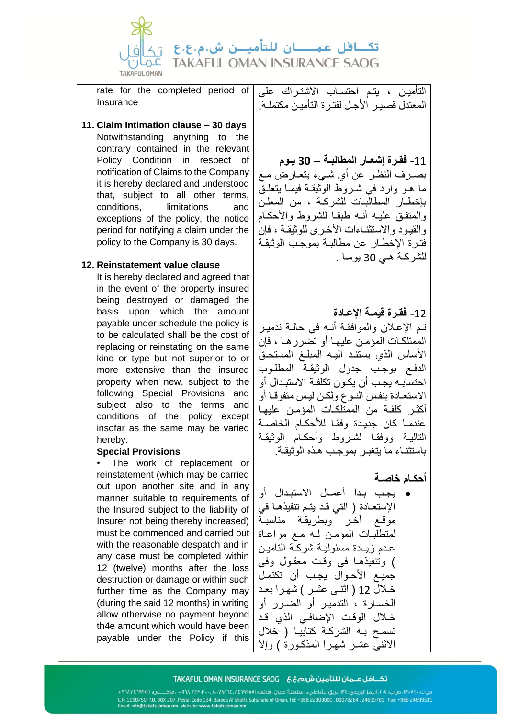

rate for the completed period of **Insurance** 

**11. Claim Intimation clause – 30 days** Notwithstanding anything to the contrary contained in the relevant Policy Condition in respect of notification of Claims to the Company it is hereby declared and understood that, subject to all other terms, conditions, limitations and exceptions of the policy, the notice period for notifying a claim under the policy to the Company is 30 days.

## **12. Reinstatement value clause**

It is hereby declared and agreed that in the event of the property insured being destroyed or damaged the basis upon which the amount payable under schedule the policy is to be calculated shall be the cost of replacing or reinstating on the same kind or type but not superior to or more extensive than the insured property when new, subject to the following Special Provisions and subject also to the terms and conditions of the policy except insofar as the same may be varied hereby.

#### **Special Provisions**

The work of replacement or reinstatement (which may be carried out upon another site and in any manner suitable to requirements of the Insured subject to the liability of Insurer not being thereby increased) must be commenced and carried out with the reasonable despatch and in any case must be completed within 12 (twelve) months after the loss destruction or damage or within such further time as the Company may (during the said 12 months) in writing allow otherwise no payment beyond th4e amount which would have been payable under the Policy if this

التأميـن ، يتـم احتسـاب االشتـراك على المعتدل قصيـر األجـل لفتـرة التأميـن مكتملـة.

-11 **فقـرة إشعـار المطالبـة – 30 يـوم**

بصـرف النظـر عن أي شـيء يتعـارض مـع ما هـو وارد في شـروط الوثيقـة فيمـا يتعلـق بإخطـار المطالبـات للشركـة ، من المعلـن والمتفـق عليـه أنـه طبقـا للشروط واألحكـام والقبـود والاستثنـاءات الأخـرى للوثيقـة ، فإن فتـرة اإلخطـار عن مطالبـة بموجـب الوثيقـة للشركـة هـي 30 يومـا .

-12 **فقـرة قيمـة اإلعـادة**

تـم اإلعـالن والموافقـة أنـه في حالـة تدميـر الممتلكـات المؤمـن عليهـا أو تضررهـا ، فإن األساس الذي يستنـد اليـه المبلـغ المستحـق الدفـع بوجـب جدول الوثيقـة المطلـوب احتسابـه يجـب أن يكـون تكلفـة االستبـدال أو االستعـادة بنفـس النـوع ولكـن ليـس متفوقـا أو أكثـر كلفـة من الممتلكـات المؤمـن عليهـا عندمـا كان جديـدة وفقـا لألحكـام الخاصـة التاليـة ووفقـا لشـروط وأحكـام الوثيقـة باستثنـاء ما يتغبـر بموجـب هـذه الوثيقـة.

**أحكـام خاصـة** 

• يجـب بـدأ أعمـال االستبـدال أو اإلستعـادة ) التي قـد يتـم تنفيذهـا في موقـع آخـر وبطريقـة مناسبـة لمتطلبـات المؤمـن لـه مـع مراعـاة عـدم زيـادة مسئوليـة شركـة التأميـن ( وتنفيذهـا في وقـت معقـول وفي جميـع األحـوال يجـب أن تكتمـل خـالل 12 ) اثنـى عشـر ( شهـرا بعـد الخسـارة ، التدميـر أو الضـرر أو خـالل الوقـت اإلضافـي الذي قـد تسمـح بـه الشركـة كتابيـا ) خالل االثنى عشـر شهـرا المذكـورة ( وإال

#### تكافل علمان للتأمين ش.م.ع.ع. TAKAFUL OMAN INSURANCE SAOG E.E.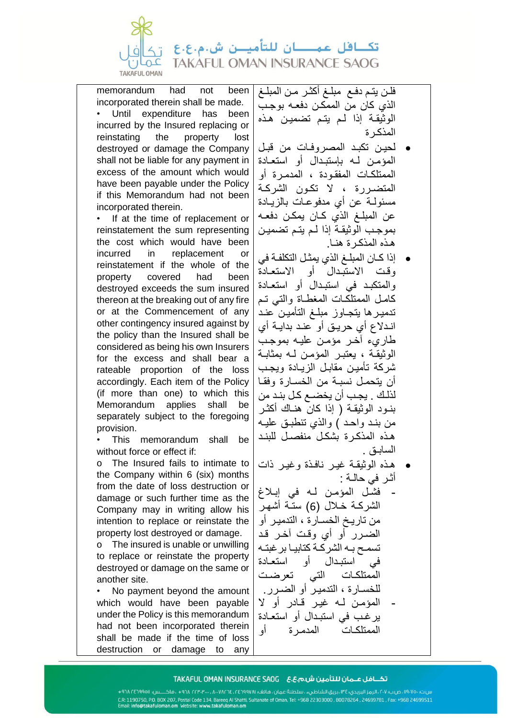

memorandum had not been incorporated therein shall be made. Until expenditure has been incurred by the Insured replacing or reinstating the property lost destroyed or damage the Company shall not be liable for any payment in excess of the amount which would have been payable under the Policy if this Memorandum had not been incorporated therein.

If at the time of replacement or reinstatement the sum representing the cost which would have been incurred in replacement or reinstatement if the whole of the property covered had been destroyed exceeds the sum insured thereon at the breaking out of any fire or at the Commencement of any other contingency insured against by the policy than the Insured shall be considered as being his own Insurers for the excess and shall bear a rateable proportion of the loss accordingly. Each item of the Policy (if more than one) to which this Memorandum applies shall be separately subject to the foregoing provision.

• This memorandum shall be without force or effect if:

o The Insured fails to intimate to the Company within 6 (six) months from the date of loss destruction or damage or such further time as the Company may in writing allow his intention to replace or reinstate the property lost destroyed or damage.

o The insured is unable or unwilling to replace or reinstate the property destroyed or damage on the same or another site.

• No payment beyond the amount which would have been payable under the Policy is this memorandum had not been incorporated therein shall be made if the time of loss destruction or damage to any

فلـن يتـم دفـع مبلـغ أكثـر مـن المبلـغ الذي كان من الممكـن دفعـه بوجـب الوثيقـة إذا لـم يتـم تضميـن هـذه المذكـرة

- لحيـن تكبـد المصروفـات من قبـل المؤمـن لـه بإستبـدال أو استعـادة الممتلكـات المفقـودة ، المدمـرة أو المتضـررة ، ال تكـون الشركـة مسئولـة عن أي مدفوعـات بالزيـادة عن المبلـغ الذي كـان يمكـن دفعـه بموجـب الوثيقـة إذا لـم يتـم تضميـن هـذه المذكـرة هنـا.
- إذا كـان المبلـغ الذي يمثـل التكلفـة في وقـت االستبـدال أو االستعـادة والمتكبـد في استبـدال أو استعـادة كامـل الممتلكـات المغطـاة والتي تـم تدميـرها يتجـاوز مبلـغ التأميـن عنـد انـدالع أي حريـق أو عنـد بدايـة أي طاريء آخـر مؤمـن عليـه بموجـب الوثيقـة ، يعتبـر المؤمـن لـه بمثابـة شركة تأميـن مقابـل الزيـادة ويجـب أن يتحمـل نسبـة من الخسـارة وفقـا لذلـك . يجـب أن يخضـع كـل بنـد من بنـود الوثيقـة ) إذا كان هنـاك أكثـر من بنـد واحـد ) والذي تنطبـق عليـه هـذه المذكـرة بشكـل منفصـل للبنـد السابـق .
- هـذه الوثيقـة غيـر نافـذة وغيـر ذات أثـر في حالـة :
- فشـل المؤمـن لـه في إبـالغ الشركـة خـالل )6( ستـة أشهـر من تاريـخ الخسـارة ، التدميـر أو الضـرر أو أي وقـت آخـر قـد تسمـح بـه الشركـة كتابيـا برغبتـه في استبـدال أو استعـادة الممتلكـات التي تعرضـت للخسـارة ، التدميـر أو الضـرر. - المؤمـن لـه غيـر قـادر أو ال يرغـب في استبـدال أو استعـادة الممتلكـات المدمـرة أو

#### تكافل علمان للتأمين ش.م.ع.ع. TAKAFUL OMAN INSURANCE SAOG E.E.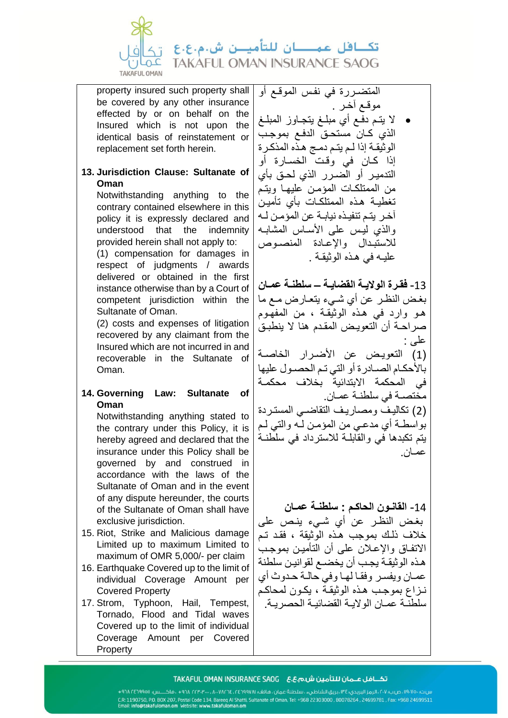

property insured such property shall be covered by any other insurance effected by or on behalf on the Insured which is not upon the identical basis of reinstatement or replacement set forth herein.

## **13. Jurisdiction Clause: Sultanate of Oman**

Notwithstanding anything to the contrary contained elsewhere in this policy it is expressly declared and understood that the indemnity provided herein shall not apply to:

(1) compensation for damages in respect of judgments / awards delivered or obtained in the first instance otherwise than by a Court of competent jurisdiction within the Sultanate of Oman.

(2) costs and expenses of litigation recovered by any claimant from the Insured which are not incurred in and recoverable in the Sultanate of Oman.

## **14. Governing Law: Sultanate of Oman**

Notwithstanding anything stated to the contrary under this Policy, it is hereby agreed and declared that the insurance under this Policy shall be governed by and construed in accordance with the laws of the Sultanate of Oman and in the event of any dispute hereunder, the courts of the Sultanate of Oman shall have exclusive jurisdiction.

- 15. Riot, Strike and Malicious damage Limited up to maximum Limited to maximum of OMR 5,000/- per claim
- 16. Earthquake Covered up to the limit of individual Coverage Amount per Covered Property
- 17. Strom, Typhoon, Hail, Tempest, Tornado, Flood and Tidal waves Covered up to the limit of individual Coverage Amount per Covered Property

المتضـررة في نفـس الموقـع أو موقـع آخـر .

• ال يتـم دفـع أي مبلـغ يتجـاوز المبلـغ الذي كـان مستحـق الدفـع بموجـب الوثيقـة إذا لـم يتـم دمـج هـذه المذكـرة إذا كـان في وقـت الخسـارة أو التدميـر أو الضـرر الذي لحـق بأي من الممتلكـات المؤمـن عليهـا ويتـم تغطيـة هـذه الممتلكـات بأي تأميـن آخـر يتـم تنفيـذه نيابـة عن المؤمـن لـه والذي ليس على الأسـاس المشابـه لالستبـدال واإلعـادة المنصـوص عليـه في هـذه الوثيقـة .

-13 **فقـرة الواليـة القضايـة – سلطنـة عمـان** بغـض النظـر عن أي شـيء يتعـارض مـع ما هـو وارد في هـذه الوثيقـة ، من المفهـوم صراحـة أن التعويـض المقـدم هنا ال ينطبـق على : )1( التعويـض عن األضـرار الخاصـة باألحكـام الصـادرة أو التي تـم الحصـول عليها في المحكمة االبتدائية بخالف محكمـة مختصـة في سلطنـة عمـان. )2( تكاليـف ومصاريـف التقاضـي المستـردة بواسطـة أي مدعـي من المؤمـن لـه والتي لـم يتم تكبدها في والقابلـة لالسترداد في سلطنـة عمـان.

## -14 **القانـون الحاكـم : سلطنـة عمـان**

بغـض النظـر عن أي شـيء ينـص على خالف ذلـك بموجب هـذه الوثيقة ، فقـد تـم االتفـاق واإلعـالن على أن التأميـن بموجـب هـذه الوثيقـة يجـب أن يخضـع لقوانيـن سلطنة عمـان ويفسـر وفقـا لهـا وفي حالـة حـدوث أي نـزاع بموجـب هـذه الوثيقـة ، يكـون لمحاكـم سلطنـة عمـان الواليـة القضائيـة الحصريـة.

####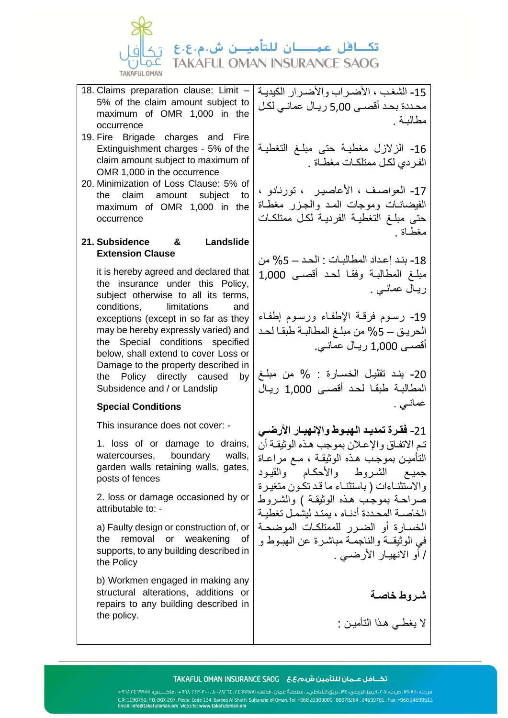

18. Claims preparation clause: Limit – 5% of the claim amount subject to maximum of OMR 1,000 in the occurrence

- 19. Fire Brigade charges and Fire Extinguishment charges - 5% of the claim amount subject to maximum of OMR 1,000 in the occurrence
- 20. Minimization of Loss Clause: 5% of the claim amount subject to maximum of OMR 1,000 in the occurrence

## **21. Subsidence & Landslide Extension Clause**

it is hereby agreed and declared that the insurance under this Policy, subject otherwise to all its terms, conditions, limitations and exceptions (except in so far as they may be hereby expressly varied) and the Special conditions specified below, shall extend to cover Loss or Damage to the property described in the Policy directly caused by Subsidence and / or Landslip

## **Special Conditions**

This insurance does not cover: -

1. loss of or damage to drains, watercourses, boundary walls, garden walls retaining walls, gates, posts of fences

2. loss or damage occasioned by or attributable to: -

a) Faulty design or construction of, or the removal or weakening of supports, to any building described in the Policy

b) Workmen engaged in making any structural alterations, additions or repairs to any building described in the policy.

-15 الشغـب ، األضـراب واألضـرار الكيديـة محـددة بحـد أقصـى 5,00 ريـال عمانـي لكـل مطالبـة .

تكـافل عمـــان للتأميــن ش.م.ع.ع **TAKAEUL OMAN INSURANCE SAOG** 

> -16 الزالزل مغطيـة حتى مبلـغ التغطيـة الفـردي لكـل ممتلكـات مغطـاة .

> -17 العواصـف ، األعاصيـر ، تورنادو ، الفيضانـات وموجات المـد والجـزر مغطـاة حتى مبلـغ التغطيـة الفرديـة لكـل ممتلكـات مغطـاة

> -18 بنـد إعـداد المطالبـات : الحـد – %5 من مبلـغ المطالبـة وفقـا لحـد أقصـى 1,000 ريـال عمانـي .

> -19 رسـوم فرقـة اإلطفـاء ورسـوم إطفـاء الحريـق – %5 من مبلـغ المطالبـة طبقـا لحـد أقصـى 1,000 ريـال عمانـي.

> -20 بنـد تقليـل الخسـارة : % من مبلـغ المطالبـة طبقـا لحـد أقصـى 1,000 ريـال عمانـي .

> -21 **فقـرة تمديـد الهبـوط و اإلنهيـار األرضـي** تـم االتفـاق واإلعـالن بموجب هـذه الوثيقـة أن التأميـن بموجـب هـذه الوثيقـة ، مـع مراعـاة جميـع الشـروط واألحكـام والقيـود واالستثنـاءات ) باستثنـاء ما قـد تكـون متغيـرة صراحـة بموجـب هـذه الوثيقـة ( والشـروط الخاصـة المحـددة أدنـاه ، يمتـد ليشمـل تغطيـة الخسـارة أو الضـرر للممتلكـات الموضحـة في الوثيقــة والناجمـة مباشـرة عن الهبـوط و / أو االنهيـار األرضـي .

> > **شـروط خاصـة**

ال يغطـي هـذا التأميـن :

####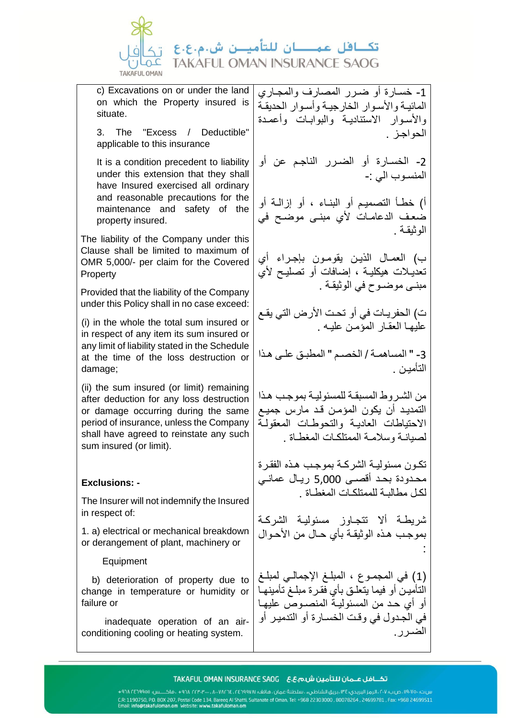

تكــاقل عهـــان للتأميــن ش.م.ع.ع **TAKAFUL OMAN INSURANCE SAOG** 

c) Excavations on or under the land on which the Property insured is situate.

3. The "Excess / Deductible" applicable to this insurance

It is a condition precedent to liability under this extension that they shall have Insured exercised all ordinary and reasonable precautions for the maintenance and safety of the property insured.

The liability of the Company under this Clause shall be limited to maximum of OMR 5,000/- per claim for the Covered **Property** 

Provided that the liability of the Company under this Policy shall in no case exceed:

(i) in the whole the total sum insured or in respect of any item its sum insured or any limit of liability stated in the Schedule at the time of the loss destruction or damage;

(ii) the sum insured (or limit) remaining after deduction for any loss destruction or damage occurring during the same period of insurance, unless the Company shall have agreed to reinstate any such sum insured (or limit).

## **Exclusions: -**

The Insurer will not indemnify the Insured in respect of:

1. a) electrical or mechanical breakdown or derangement of plant, machinery or

## Equipment

 b) deterioration of property due to change in temperature or humidity or failure or

 inadequate operation of an airconditioning cooling or heating system.

-1 خسـارة أو ضـرر المصارف والمجـاري المائيـة والأسـوار الخارجيـة وأسـوار الحديقـة واألسـوار االستناديـة والبوابـات وأعمـدة الحواجـز . -2 الخسـارة أو الضـرر الناجـم عن أو المنسـوب الي -: أ( خطـأ التصميـم أو البنـاء ، أو إزالـة أو .<br>ضعف الدعامـات لأي مبنـى موضـح في الوثيقـة . ب) العمـال الذيـن يقومـون بإجـراء أي تعديـالت هيكليـة ، إضافات أو تصليـح ألي مبنـى موضـوح في الوثيقـة . ت) الحفر يـات في أو تحـت الأرض التي يقـع عليهـا العقـار المؤمـن عليـه . -3 " المساهمـة / الخصـم " المطبـق علـى هـذا التأميـن . من الشـروط المسبقـة للمسئوليـة بموجـب هـذا التمديـد أن يكون المؤمـن قـد مارس جميـع االحتياطات العاديـة والتحوطـات المعقولـة لصيانـة وسالمـة الممتلكـات المغطـاة . تكـون مسئوليـة الشركـة بموجـب هـذه الفقـرة محـدودة بحـد أقصـى 5,000 ريـال عمانـي لكـل مطالبـة للممتلكـات المغطـاة . شريطـة أال تتجـاوز مسئوليـة الشركـة بموجـب هـذه الوثيقـة بأي حـال من األحـوال : )1( في المجمـوع ، المبلـغ اإلجمالـي لمبلـغ التأميـن أو فيما يتعلـق بأي فقـرة مبلـغ تأمينهـا أو أي حـد من المسئوليـة المنصـوص عليهـا في الجـدول في وقـت الخسـارة أو التدميـر أو الضـرر.

####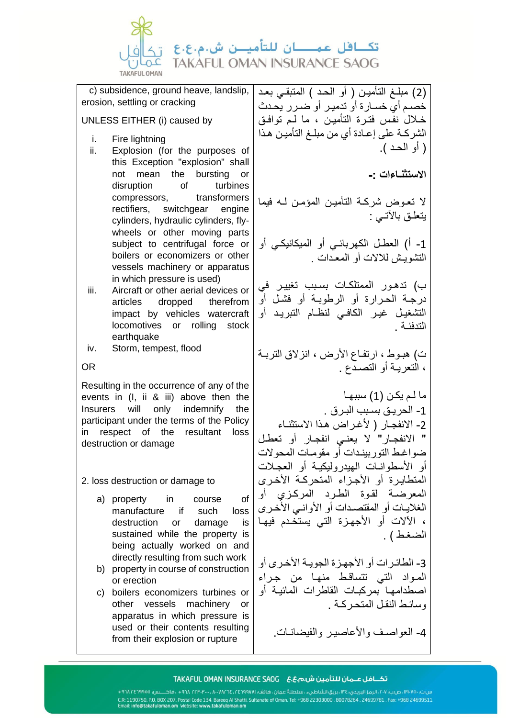

 c) subsidence, ground heave, landslip, erosion, settling or cracking

UNLESS EITHER (i) caused by

- i. Fire lightning
- ii. Explosion (for the purposes of this Exception "explosion" shall not mean the bursting or disruption of turbines compressors, transformers rectifiers, switchgear engine cylinders, hydraulic cylinders, flywheels or other moving parts subject to centrifugal force or boilers or economizers or other vessels machinery or apparatus in which pressure is used)
- iii. Aircraft or other aerial devices or articles dropped therefrom impact by vehicles watercraft locomotives or rolling stock earthquake
- iv. Storm, tempest, flood

OR

Resulting in the occurrence of any of the events in (I, ii & iii) above then the Insurers will only indemnify the participant under the terms of the Policy in respect of the resultant loss destruction or damage

2. loss destruction or damage to

- a) property in course of manufacture if such loss destruction or damage is sustained while the property is being actually worked on and directly resulting from such work
- b) property in course of construction or erection
- c) boilers economizers turbines or other vessels machinery or apparatus in which pressure is used or their contents resulting from their explosion or rupture

)2( مبلـغ التأميـن ) أو الحـد ( المتبقـي بعـد خصـم أي خسـارة أو تدميـر أو ضـرر يحـدث خـالل نفـس فتـرة التأميـن ، ما لـم توافـق الشركـة على إعـادة أي من مبلـغ التأميـن هـذا ) أو الحـد (. **االستثنـاءات : -**  ال تعـوض شركـة التأميـن المؤمـن لـه فيما يتعلـق باآلتـي : -1 أ( العطـل الكهربائـي أو الميكانيكـي أو التشويـش لآلالت أو المعـدات . ب( تدهـور الممتلكـات بسـبب تغييـر في درجـة الحـرارة أو الرطوبـة أو فشـل أو التشغيـل غيـر الكافـي لنظـام التبريـد أو التدفئـة . ت) هبـوط ، ارتفـاع الأرض ، انزلاق التربـة ، التعريـة أو التصـدع . ما لـم يكـن )1( سببهـا -1 الحريـق بسـبب البـرق . -2 االنفجـار ) ألغـراض هـذا االستثنـاء " االنفجـار" ال يعنـي انفجـار أو تعطـل ضواغـط التوربينـدات أو مقومـات المحوالت أو الأسطوانــات الـهيدروليكيــة أو العجــلات المتطايـرة أو األجـزاء المتحركـة األخـرى المعرضـة لقـوة الطـرد المركـزي أو الغلايـات أو المقتصـدات أو الأوانـي الأخـرى ، اآلالت أو األجهـزة التي يستخـدم فيهـا الضغـط ( . 3- الطائـر ات أو الأجهـز ة الجويـة الأخـر ي أو المـواد التي تتساقـط منهـا من جـراء اصطدامهـا بمركبـات القاطرات المائيـة أو وسائـط النقـل المتحـركـة .

-4 العواصـف واألعاصيـر والفيضانـات.

#### تكافل علمان للتأمين ش.م.ع.ع. TAKAFUL OMAN INSURANCE SAOG E.E.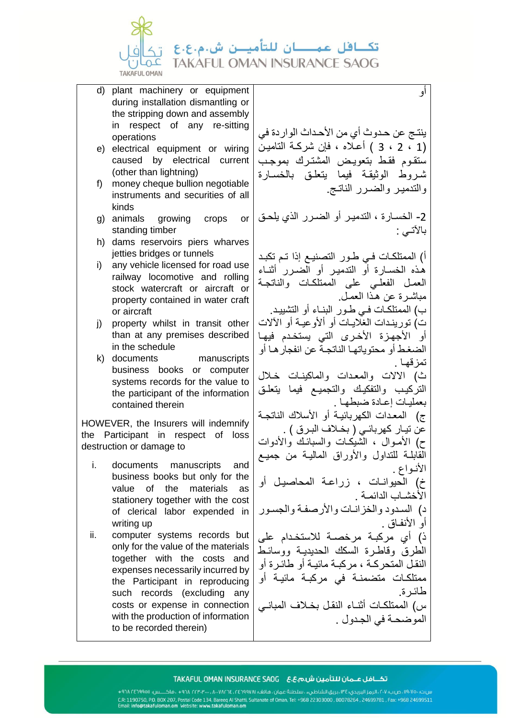

## تكــافل عمــــان للتأميــن ش.م.ع.ع **TAKAFUL OMAN INSURANCE SAOG**

أو ينتـج عن حـدوث أي من األحـداث الواردة في )1 ، 2 ، 3 ( أعـاله ، فإن شركـة التاميـن ستقـوم فقـط بتعويـض المشتـرك بموجـب شـروط الوثيقـة فيما يتعلـق بالخسـارة والتدميـر والضـرر الناتـج. -2 الخسـارة ، التدميـر أو الضـرر الذي يلحـق باآلتـي : أ) الممتلكـات فـي طـور التصنيـع إذا تـم تكبـد هـذه الخسـارة أو التدميـر أو الضـرر أثنـاء العمـل الفعلـي على الممتلكـات والناتجـة مباشـرة عن هـذا العمـل. ب( الممتلكـات فـي طـور البنـاء أو التشييـد. ت) تورينـدات الغلابـات أو ألأو عبـة أو الآلات أو الأجهزة الأخرى التي يستخدم فيهـا الضغـط أو محتوياتهـا الناتجـة عن انفجارهـا أو تمزقهـا . ث( االالت والمعـدات والماكينـات خـالل التركيـب والتفكيـك والتجميـع فيما يتعلـق بعمليـات إعـادة ضبطهـا . ج) المعدات الكهربائيـة أو الأسلاك الناتجـة عن تيـار كهربائـي ( بخـلاف البـرق ) . ح) الأمـوال ، الشيكـات والسبائـك والأدوات القابلـة للتداول واألوراق الماليـة من جميـع الأنـواع . خ) الحيوانـات ، زراعـة المحاصيل أو الأخشـاب الدائمـة . د) السـدو د و الخز انــات و الأر صـفـة و الـجسـو ر أو الأنفـاق . ذ( أي مركبـة مرخصـة لالستخـدام على الطرق وقاطـرة السكك الحديديـة ووسائـط النقـل المتحركـة ، مركبـة مائيـة أو طائـرة أو ممتلكـات متضمنـة في مركبـة مائيـة أو طائـرة. س( الممتلكـات أثنـاء النقـل بخـالف المبانـي الموضحـة في الجـدول . d) plant machinery or equipment during installation dismantling or the stripping down and assembly in respect of any re-sitting operations e) electrical equipment or wiring caused by electrical current (other than lightning) f) money cheque bullion negotiable instruments and securities of all kinds g) animals growing crops or standing timber h) dams reservoirs piers wharves jetties bridges or tunnels i) any vehicle licensed for road use railway locomotive and rolling stock watercraft or aircraft or property contained in water craft or aircraft j) property whilst in transit other than at any premises described in the schedule k) documents manuscripts business books or computer systems records for the value to the participant of the information contained therein HOWEVER, the Insurers will indemnify the Participant in respect of loss destruction or damage to i. documents manuscripts and business books but only for the value of the materials as stationery together with the cost of clerical labor expended in writing up ii. computer systems records but only for the value of the materials together with the costs and expenses necessarily incurred by the Participant in reproducing such records (excluding any costs or expense in connection with the production of information to be recorded therein)

#### تكــافل عــمان للتأمين ش.م.ع.ع TAKAFUL OMAN INSURANCE SAOG \_\_\_\_\_\_\_\_\_\_\_\_\_\_\_\_\_\_\_\_\_\_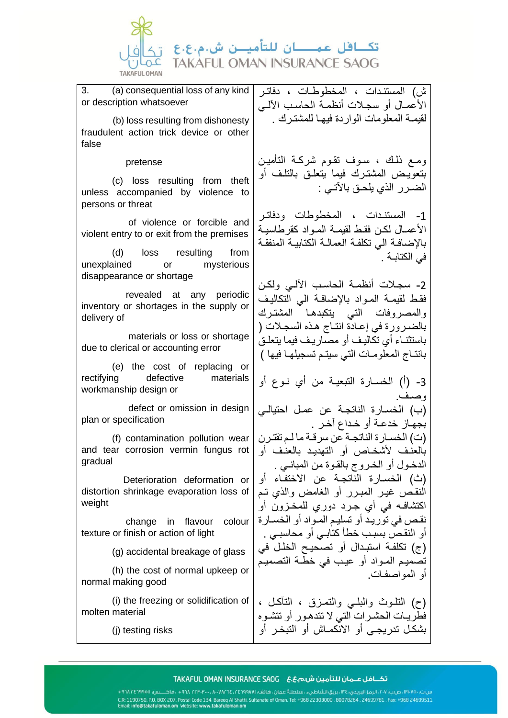

3. (a) consequential loss of any kind or description whatsoever

 (b) loss resulting from dishonesty fraudulent action trick device or other false

pretense

(c) loss resulting from theft unless accompanied by violence to persons or threat

 of violence or forcible and violent entry to or exit from the premises

(d) loss resulting from unexplained or mysterious disappearance or shortage

 revealed at any periodic inventory or shortages in the supply or delivery of

 materials or loss or shortage due to clerical or accounting error

 (e) the cost of replacing or rectifying defective materials workmanship design or

defect or omission in design plan or specification

(f) contamination pollution wear and tear corrosion vermin fungus rot gradual

 Deterioration deformation or distortion shrinkage evaporation loss of weight

 change in flavour colour texture or finish or action of light

(g) accidental breakage of glass

 (h) the cost of normal upkeep or normal making good

 (i) the freezing or solidification of molten material

(j) testing risks

ش( المستنـدات ، المخطوطـات ، دفاتـر األعمـال أو سجـالت أنظمـة الحاسـب اآللـي لقيمـة المعلومات الواردة فيهـا للمشتـرك .

ومـع ذلـك ، سـوف تقـوم شركـة التأميـن بتعويـض المشتـرك فيما يتعلـق بالتلـف أو الضـرر الذي يلحـق باآلتـي :

-1 المستنـدات ، المخطوطات ودفاتـر األعمـال لكـن فقـط لقيمـة المـواد كقرطاسيـة باإلضافـة الي تكلفـة العمالـة الكتابيـة المنفقـة في الكتابـة .

-2 سجـالت أنظمـة الحاسـب اآللـي ولكـن فقـط لقيمـة المـواد باإلضافـة الي التكاليـف والمصروفات التي يتكبدهـا المشتـرك بالضـرورة في إعـادة انتـاج هـذه السجـالت ) باستثنـاء أي تكاليـف أو مصاريـف فيما يتعلـق بانتـاج المعلومـات التي سيتـم تسجيلهـا فيها (

-3 )أ( الخسـارة التبعيـة من أي نـوع أو وصـف. )ب( الخسـارة الناتجـة عن عمـل احتيالـي بجهـاز خدعـة أو خـداع آخـر . )ت( الخسـارة الناتجـة عن سرقـة ما لـم تقتـرن بالعنـف ألشخـاص أو التهديـد بالعنـف أو الدخـول أو الخـروج بالقـوة من المبانـي . )ث( الخسـارة الناتجـة عن االختفـاء أو النقـص غيـر المبـرر أو الغامض والذي تـم اكتشافـه في أي جـرد دوري للمخـزون أو نقـص في توريـد أو تسليـم المـواد أو الخسـارة أو النقـص بسبـب خطأ كتابـي أو محاسبـي . )ج( تكلفـة استبـدال أو تصحيـح الخلـل في تصميـم المـواد أو عيـب في خطـة التصميـم

)ح( التلـوث والبلـي والتمـزق ، التآكـل ، فطريـات الحشـرات التي ال تتدهـور أو تتشـوه بشكـل تدريجـي أو االنكمـاش أو التبخـر أو

أو المواصفـات.

####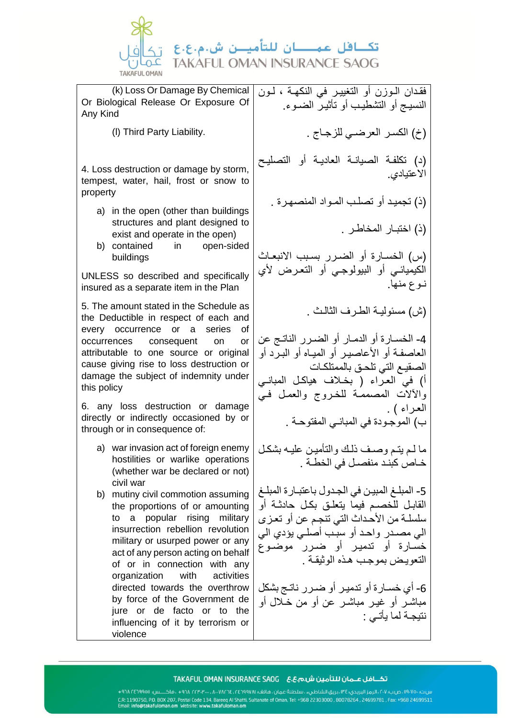

| (k) Loss Or Damage By Chemical<br>Or Biological Release Or Exposure Of<br>Any Kind                                                                                                                                                                                                                                                                                                                                                         | فقدان الموزن أو التغيير في النكهة ، لمون<br>النسيج أو التشطيب أو تأثير الضـوء.                                                                                                                                                                                                                                                                                                        |
|--------------------------------------------------------------------------------------------------------------------------------------------------------------------------------------------------------------------------------------------------------------------------------------------------------------------------------------------------------------------------------------------------------------------------------------------|---------------------------------------------------------------------------------------------------------------------------------------------------------------------------------------------------------------------------------------------------------------------------------------------------------------------------------------------------------------------------------------|
| (I) Third Party Liability.                                                                                                                                                                                                                                                                                                                                                                                                                 | (خ) الكسر العرضـي للزجـاج .                                                                                                                                                                                                                                                                                                                                                           |
| 4. Loss destruction or damage by storm,<br>tempest, water, hail, frost or snow to<br>property                                                                                                                                                                                                                                                                                                                                              | (د) تكلفة الصيانة العادية أو التصليح<br>الاعتيادي.                                                                                                                                                                                                                                                                                                                                    |
| a) in the open (other than buildings                                                                                                                                                                                                                                                                                                                                                                                                       | (ذ) تجميد أو تصلب المواد المنصهرة .                                                                                                                                                                                                                                                                                                                                                   |
| structures and plant designed to<br>exist and operate in the open)<br>b) contained in open-sided                                                                                                                                                                                                                                                                                                                                           | (ذ) اختبـار المخاطـر .                                                                                                                                                                                                                                                                                                                                                                |
| buildings                                                                                                                                                                                                                                                                                                                                                                                                                                  | (س) الخسارة أو الضرر بسبب الانبعاث<br>ر __<br>الكيميائــي أو البيولوجــي أو التعرض لأي                                                                                                                                                                                                                                                                                                |
| UNLESS so described and specifically<br>insured as a separate item in the Plan                                                                                                                                                                                                                                                                                                                                                             | نـوع منها.                                                                                                                                                                                                                                                                                                                                                                            |
| 5. The amount stated in the Schedule as<br>the Deductible in respect of each and                                                                                                                                                                                                                                                                                                                                                           | (ش) مسئولية الطرف الثالث .                                                                                                                                                                                                                                                                                                                                                            |
| every occurrence or a series<br>οf<br>occurrences consequent on<br>or<br>attributable to one source or original<br>cause giving rise to loss destruction or<br>damage the subject of indemnity under<br>this policy                                                                                                                                                                                                                        | 4- الخسـارة أو الدمـار أو الضـرر النـاتـج عن<br>العاصفة أو الأعاصير أو الميـاه أو البـرد أو<br>الصقيع التي تلحق بالممتلكات<br>أ) في العراء ( بخلاف هياكل المباني<br>والألات المصممة للخروج والعمل في                                                                                                                                                                                  |
| 6. any loss destruction or damage<br>directly or indirectly occasioned by or<br>through or in consequence of:                                                                                                                                                                                                                                                                                                                              | العراء ) .<br>ب) الموجـودة في المبانــي المفتوحــة .                                                                                                                                                                                                                                                                                                                                  |
| a) war invasion act of foreign enemy<br>hostilities or warlike operations<br>(whether war be declared or not)                                                                                                                                                                                                                                                                                                                              | ما لـم يتـم وصـف ذلك والتأميـن عليـه بشكـل<br>خــاص كبنـد منفصــل في الخطــة .                                                                                                                                                                                                                                                                                                        |
| civil war<br>b) mutiny civil commotion assuming<br>the proportions of or amounting<br>a popular rising military<br>to<br>insurrection rebellion revolution<br>military or usurped power or any<br>act of any person acting on behalf<br>of or in connection with any<br>organization with activities<br>directed towards the overthrow<br>by force of the Government de<br>jure or de facto or to the<br>influencing of it by terrorism or | 5- المبلــغ المبيــن في الـجـدول بـاعتبــار ة المبلــغ<br>القابـل للخصـم فيما يتعلـق بكـل حادثــة أو<br>سلسلــــــة من الأحــداث التي تنجــم عن أو تـعـــزى<br>الى مصدر واحد أو سبب أصلـى يؤدي الى<br>خسارة أو تدمير أو ضىرر موضىوع<br>التعويض بموجب هذه الوثيقة .<br>6- أي خسـارة أو تدميـر أو ضـرر نـاتـج بشكل<br>مباشـر أو غيـر مباشـر عن أو من خـلال أو<br>نتيجــة لمـا يـأتــى : |
| violence                                                                                                                                                                                                                                                                                                                                                                                                                                   |                                                                                                                                                                                                                                                                                                                                                                                       |

####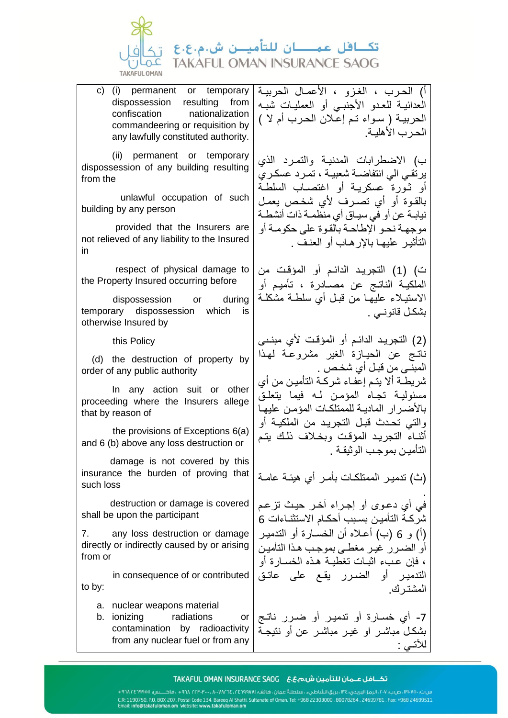

in

تكــاقل عهـــان للتأميــن ش.م.ع.ع **TAKAFUL OMAN INSURANCE SAOG** 

أ) الحرب ، الغزو ، الأعمـال الحربيـة العدائيـة للعـدو الأجنبـي أو العمليـات شبـه الحربيـة ( سـواء تـم إعـلان الحـرب أم لا ) الحـر ب الأهليـة. ب( االضطرابات المدنيـة والتمـرد الذي يرتقـي الي انتفاضـة شعبيـة ، تمـرد عسكـري أو ثـورة عسكريـة أو اغتصـاب السلطـة بالقـوة أو أي تصـرف ألي شخـص يعمـل نيابـة عن أو في سيـاق أي منظمـة ذات أنشطـة موجهـة نحـو اإلطاحـة بالقـوة على حكومـة أو التأثيـر عليهـا باإلرهـاب أو العنـف . ت( )1( التجريـد الدائـم أو المؤقـت من الملكيـة الناتـج عن مصـادرة ، تأميـم أو االستيـالء عليهـا من قبـل أي سلطـة مشكلـة بشكـل قانونـي . )2( التجريـد الدائـم أو المؤقـت ألي مبنـىى ناتـج عن الحيـازة الغير مشروعـة لهـذا المبنـى من قبـل أي شخـص . شريطـة أال يتـم إعفـاء شركـة التأميـن من أي مسئوليـة تجـاه المؤمـن لـه فيما يتعلـق باألضـرار الماديـة للممتلكـات المؤمـن عليهـا والتي تحـدث قبـل التجريـد من الملكيـة أو أثنـاء التجريـد المؤقـت وبخـالف ذلـك يتـم التأميـن بموجـب الوثيقـة . )ث( تدميـر الممتلكـات بأمـر أي هيئـة عامـة . في أي دعـوى أو إجـراء آخـر حيـث تزعـم شركـة التأميـن بسـبب أحكـام االستثنـاءات 6 )أ( و 6 )ب( أعـاله أن الخسـارة أو التدميـر أو الضـرر غيـر مغطـى بموجـب هـذا التأميـن ، فإن عـبء اثبـات تغطيـة هـذه الخسـارة أو التدميـر أو الضـرر يقـع على عاتـق المشتـرك. -7 أي خسـارة أو تدميـر أو ضـرر ناتـج بشكـل مباشـر او غيـر مباشـر عن أو نتيجـة لآلتـي : c) (i) permanent or temporary dispossession resulting from confiscation nationalization commandeering or requisition by any lawfully constituted authority. (ii) permanent or temporary dispossession of any building resulting from the unlawful occupation of such building by any person provided that the Insurers are not relieved of any liability to the Insured respect of physical damage to the Property Insured occurring before dispossession or during temporary dispossession which is otherwise Insured by this Policy (d) the destruction of property by order of any public authority In any action suit or other proceeding where the Insurers allege that by reason of the provisions of Exceptions 6(a) and 6 (b) above any loss destruction or damage is not covered by this insurance the burden of proving that such loss destruction or damage is covered shall be upon the participant 7. any loss destruction or damage directly or indirectly caused by or arising from or in consequence of or contributed to by: a. nuclear weapons material b. ionizing radiations or contamination by radioactivity from any nuclear fuel or from any

#### تكافل علمان للتأمين ش.م.ع.ع. TAKAFUL OMAN INSURANCE SAOG E.E.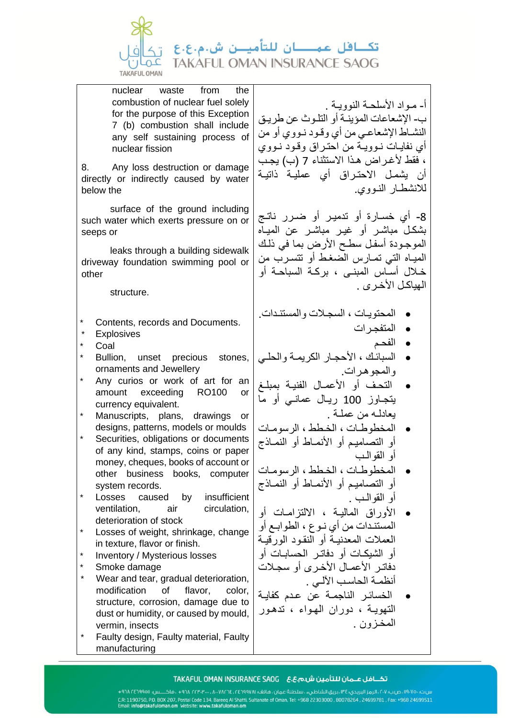

تكــاقل عهـــان للتأميــن ش.م.ع.ع **TAKAFUL OMAN INSURANCE SAOG** 

nuclear waste from the combustion of nuclear fuel solely for the purpose of this Exception 7 (b) combustion shall include any self sustaining process of nuclear fission

8. Any loss destruction or damage directly or indirectly caused by water below the

 surface of the ground including such water which exerts pressure on or seeps or

 leaks through a building sidewalk driveway foundation swimming pool or other

structure.

- Contents, records and Documents.
- **Explosives**
- **Coal**
- Bullion, unset precious stones, ornaments and Jewellery
- Any curios or work of art for an amount exceeding RO100 or currency equivalent.
- Manuscripts, plans, drawings or designs, patterns, models or moulds
- Securities, obligations or documents of any kind, stamps, coins or paper money, cheques, books of account or other business books, computer system records.
- Losses caused by insufficient ventilation, air circulation, deterioration of stock
- Losses of weight, shrinkage, change in texture, flavor or finish.
- Inventory / Mysterious losses
- Smoke damage
- Wear and tear, gradual deterioration, modification of flavor, color, structure, corrosion, damage due to dust or humidity, or caused by mould, vermin, insects
- Faulty design, Faulty material, Faulty manufacturing

أ- مـواد األسلحـة النوويـة . ب - اإلشعاعات المؤينـة أو التلـوث عن طريـق النشـاط اإلشعاعـي من أي وقـود نـووي أو من أي نفايـات نـوويـة من احتـراق وقـود نـووي ، فقط لأغـراض هـذا الاستثناء 7 (ب) يجب أن يشمـل االحتـراق أي عمليـة ذاتيـة لالنشطـار النـووي.

-8 أي خسـارة أو تدميـر أو ضـرر ناتـج بشكـل مباشـر أو غيـر مباشـر عن الميـاه الموجـودة أسفـل سطـح األرض بما في ذلـك الميـاه التي تمـارس الضغـط أو تتسـرب من خـالل أسـاس المبنـى ، بركـة السباحـة أو الهباكـل الأخـرى .

- المحتويـات ، السجـالت والمستنـدات.
	- المتفجـرات
		- الفحـم
- السبائـك ، األحجـار الكريمـة والحلـي والمجوهـرات.
- التحـف أو األعمـال الفنيـة بمبلـغ يتجـاوز 100 ريـال عمانـي أو ما يعادلـه من عملـة .
- المخطوطـات ، الخـطط ، الرسومـات أو التصاميـم أو الأنمـاط أو النمـاذج أو القوالـب
- المخطوطـات ، الخـطط ، الرسومـات أو التصاميـم أو الأنمـاط أو النمـاذج أو القوالـب .
- األوراق الماليـة ، االلتزامـات أو المستنـدات من أي نـوع ، الطوابـع أو العمالت المعدنيـة أو النقـود الورقيـة أو الشيكـات أو دفاتـر الحسابـات أو دفاتـر الأعمـال الأخـر ي أو سجـلات أنظمـة الحاسـب اآللـي .
- الخسائـر الناجمـة عن عـدم كفايـة التهويـة ، دوران الهـواء ، تدهـور المخـزون .

#### تكــافل عــمان للتأمين ش.م.ع.ع. TAKAFUL OMAN INSURANCE SAOG \_\_\_\_\_\_\_\_\_\_\_\_\_\_\_\_\_\_\_\_\_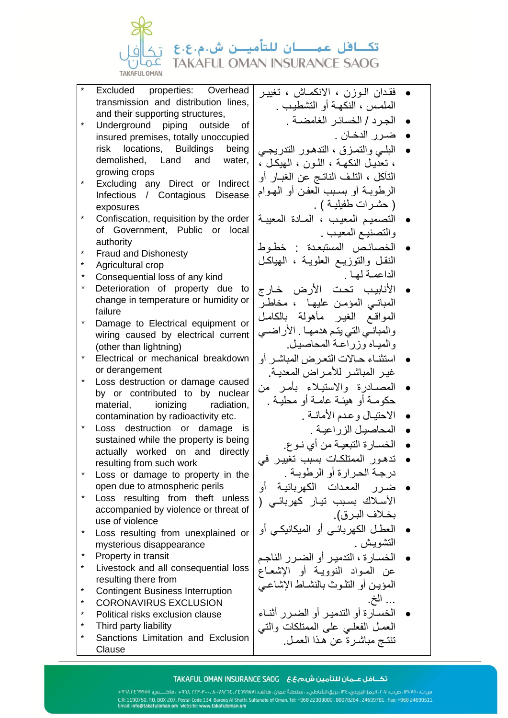

تكـافل عمـــان للتأميــن ش.م.ع.ع **TAKAFUL OMAN INSURANCE SAOG** 

- Excluded properties: Overhead transmission and distribution lines, and their supporting structures,
- Underground piping outside of insured premises, totally unoccupied risk locations, Buildings being demolished, Land and water, growing crops
- Excluding any Direct or Indirect Infectious / Contagious Disease exposures
- Confiscation, requisition by the order of Government, Public or local authority
- **Fraud and Dishonesty**
- Agricultural crop
- Consequential loss of any kind
- Deterioration of property due to change in temperature or humidity or failure
- Damage to Electrical equipment or wiring caused by electrical current (other than lightning)
- \* Electrical or mechanical breakdown or derangement
- Loss destruction or damage caused by or contributed to by nuclear material, ionizing radiation, contamination by radioactivity etc.
- Loss destruction or damage is sustained while the property is being actually worked on and directly resulting from such work
- Loss or damage to property in the open due to atmospheric perils
- Loss resulting from theft unless accompanied by violence or threat of use of violence
- Loss resulting from unexplained or mysterious disappearance
- Property in transit
- Livestock and all consequential loss resulting there from
- **Contingent Business Interruption**
- CORONAVIRUS EXCLUSION
- Political risks exclusion clause
- Third party liability
- Sanctions Limitation and Exclusion Clause
- فقـدان الـوزن ، االنكمـاش ، تغييـر الملمـس ، النكهـة أو التشطيـب .
	- الجـرد / الخسائـر الغامضـة .
		- ضـرر الدخـان .
- البلـي والتمـزق ، التدهـور التدريجـي ، تعديـل النكهـة ، اللـون ، الهيكـل ، التآكل ، التلـف الناتـج عن الغبـار أو الرطوبـة أو بسـبب العفـن أو الهـوام ) حشـرات طفيليـة ( .
- التصميـم المعيـب ، المـادة المعيبـة والتصنيـع المعيـب .
- الخصائـص المستبعـدة : خطـوط النقـل والتوزيـع العلويـة ، الهياكـل الداعمـة لهـا .
- األنابيـب تحـت األرض خـارج المبانـي المؤمـن عليهـا ، مخاطـر المواقـع الغيـر مأهولة بالكامـل والمبانـي التي يتـم هدمهـا . األراضـي والميـاه وزراعـة المحاصيـل.
- استثنـاء حـاالت التعـرض المباشـر أو غيـر المباشـر لألمـراض المعديـة.
- المصـادرة واالستيـالء بأمـر من حكومـة أو هيئـة عامـة أو محليـة .
	- االحتيـال وعـدم األمانـة .
		- المحاصيـل الزراعيـة .
	- الخسـارة التبعيـة من أي نـوع.
- تدهـور الممتلكـات بسبب تغييـر في درجـة الحـرارة أو الرطوبـة .
- ضـرر المعـدات الكهربائيـة أو األسـالك بسـبب تيـار كهربائـي ) بخـلاف البـرق).
- العطـل الكهربائـي أو الميكانيكـي أو التشويـش .
- الخسـارة ، التدميـر أو الضـرر الناجـم عن المـواد النوويـة أو اإلشعـاع المؤيـن أو التلـوث بالنشـاط اإلشاعـي ... الخ.
- الخسـارة أو التدميـر أو الضـرر أثنـاء العمـل الفعلـي على الممتلكات والتي تنتـج مباشـرة عن هـذا العمـل.

#### تكــافل عــمان للتأمين ش.م.ع.ع. TAKAFUL OMAN INSURANCE SAOG \_\_\_\_\_\_\_\_\_\_\_\_\_\_\_\_\_\_\_\_\_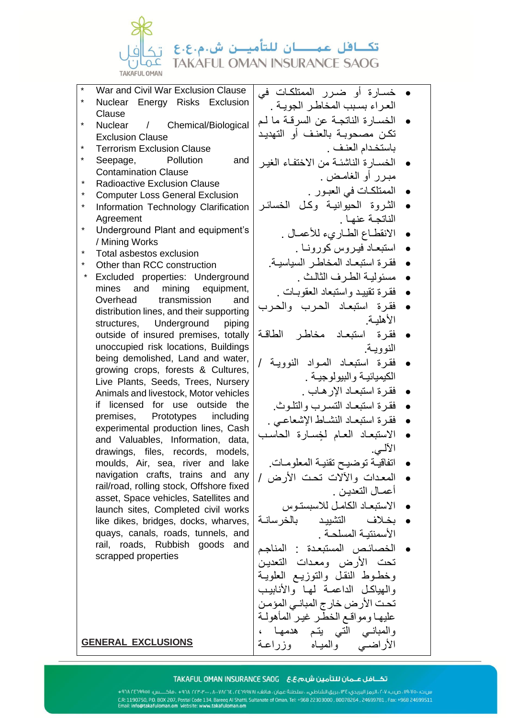

تكافل عمــان للتأميــن ش.م.ع.ع **TAKAFUL OMAN INSURANCE SAOG** 

- War and Civil War Exclusion Clause
- Nuclear Energy Risks Exclusion Clause
- Nuclear / Chemical/Biological Exclusion Clause
- **Terrorism Exclusion Clause**
- Seepage, Pollution and Contamination Clause
- **Radioactive Exclusion Clause**
- **Computer Loss General Exclusion**
- Information Technology Clarification Agreement
- Underground Plant and equipment's / Mining Works
- Total asbestos exclusion
- Other than RCC construction
- \* Excluded properties: Underground mines and mining equipment, Overhead transmission and distribution lines, and their supporting structures, Underground piping outside of insured premises, totally unoccupied risk locations, Buildings being demolished, Land and water, growing crops, forests & Cultures, Live Plants, Seeds, Trees, Nursery Animals and livestock, Motor vehicles if licensed for use outside the premises, Prototypes including experimental production lines, Cash and Valuables, Information, data, drawings, files, records, models, moulds, Air, sea, river and lake navigation crafts, trains and any rail/road, rolling stock, Offshore fixed asset, Space vehicles, Satellites and launch sites, Completed civil works like dikes, bridges, docks, wharves, quays, canals, roads, tunnels, and rail, roads, Rubbish goods and scrapped properties

## **GENERAL EXCLUSIONS**

- خسـارة أو ضـرر الممتلكـات في العـراء بسـبب المخاطـر الجويـة .
- الخسـارة الناتجـة عن السرقـة ما لـم تكـن مصحوبـة بالعنـف أو التهديـد باستخـدام العنـف .
- الخسـارة الناشئـة من االختفـاء الغيـر مبـرر أو الغامـض .
	- الممتلكـات في العبـور .
- الثـروة الحيوانيـة وكـل الخسائـر الناتجـة عنهـا .
	- االنقطـاع الطـاريء لألعمـال .
		- استبعـاد فيـروس كورونـا .
	- فقـرة استبعـاد المخاطـر السياسيـة.
		- مسئوليـة الطـرف الثالـث .
		- فقـرة تقييـد واستبعاد العقوبـات .
- فقـرة استبعـاد الحـرب والحـرب األهليـة.
- فقـرة استبعـاد مخاطـر الطاقـة النوويـة.
- فقـرة استبعـاد المـواد النوويـة / الكيميائيـة والبيولوجيـة .
	- فقـرة استبعـاد اإلرهـاب .
	- فقـرة استبعـاد التسـرب والتلـوث.
	- فقـرة استبعـاد النشـاط اإلشعاعـي .
- االستبعـاد العـام ل ٍخسـارة الحاسـب اآللـي.
- اتفاقيـة توضيـح تقنيـة المعلومـات.
- المعـدات واآلالت تحـت األرض / أعمـال التعديـن .
	- االستبعـاد الكامـل لالسبستـوس
- بخـالف التشييـد بالخرسانـة الأسمنتيـة المسلحـة
- الخصائـص المستبعـدة : المناجـم تحت األرض ومعـدات التعديـن وخطـوط النقـل والتوزيـع العلويـة والهياكـل الداعمـة لهـا واألنابيـب تحـت األرض خارج المبانـي المؤمـن عليهـا ومواقـع الخطـر غيـر المأهولـة والمبانـي التي يتـم هدمهـا ، األراضـي والميـاه وزراعـة

#### تكــافل عــمان للتأمين ش.م.ع.ع. TAKAFUL OMAN INSURANCE SAOG \_\_\_\_\_\_\_\_\_\_\_\_\_\_\_\_\_\_\_\_\_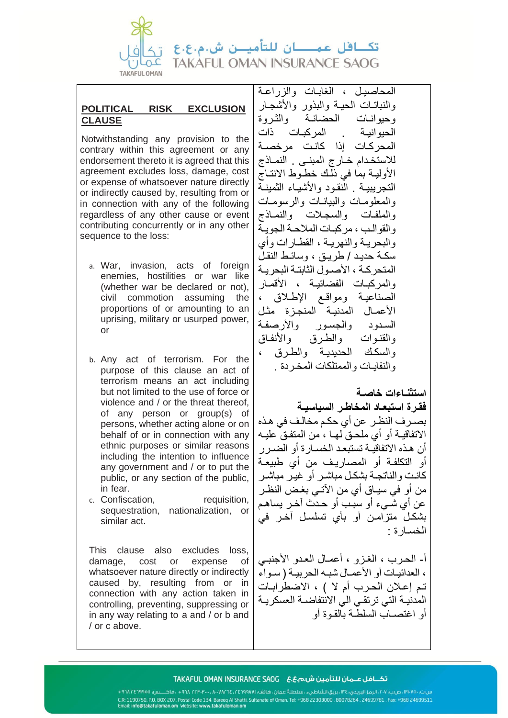

## **POLITICAL RISK EXCLUSION CLAUSE**

Notwithstanding any provision to the contrary within this agreement or any endorsement thereto it is agreed that this agreement excludes loss, damage, cost or expense of whatsoever nature directly or indirectly caused by, resulting from or in connection with any of the following regardless of any other cause or event contributing concurrently or in any other sequence to the loss:

- a. War, invasion, acts of foreign enemies, hostilities or war like (whether war be declared or not), civil commotion assuming the proportions of or amounting to an uprising, military or usurped power, or
- b. Any act of terrorism. For the purpose of this clause an act of terrorism means an act including but not limited to the use of force or violence and / or the threat thereof, of any person or group(s) of persons, whether acting alone or on behalf of or in connection with any ethnic purposes or similar reasons including the intention to influence any government and / or to put the public, or any section of the public, in fear.
- c. Confiscation, equisition, sequestration, nationalization, or similar act.

This clause also excludes loss, damage, cost or expense of whatsoever nature directly or indirectly caused by, resulting from or in connection with any action taken in controlling, preventing, suppressing or in any way relating to a and / or b and / or c above.

المحاصيـل ، الغابـات والزراعـة والنباتـات الحيـة والبذور واألشجـار وحيوانـات الحضانـة والثـروة الحيوانيـة . المركبـات ذات المحركـات إذا كانـت مرخصـة لالستخـدام خـارج المبنـى . النمـاذج األوليـة بما في ذلـك خطـوط االنتـاج التجريبية . الّنقـود والأشبـاء الثمبنـة والمعلومـات والبيانـات والرسومـات والملفـات والسجـالت والنمـاذج والقوالـب ، مركبـات المالحـة الجويـة والبحريـة والنهريـة ، القطـارات وأي سكـة حديـد / طريـق ، وسائـط النقـل المتحركـة ، األصـول الثابتـة البحريـة والمركبـات الفضائيـة ، األقمـار الصناعيـة ومواقـع اإلطـالق ، األعمـال المدنيـة المنجـزة مثـل السـدود والجسـور واألرصفـة والقنـوات والطـرق واألنفـاق والسكـك الحديديـة والطـرق ، والنفايـات والممتلكات المخـردة .

**استثنـاءات خاصـة** 

**فقـرة استبعـاد المخاطـر السياسيـة** 

بصـرف النظـر عن أي حكـم مخالـف في هـذه االتفاقيـة أو أي ملحـق لهـا ، من المتفـق عليـه أن هـذه االتفاقيـة تستبعـد الخسـارة أو الضـرر أو التكلفـة أو المصاريـف من أي طبيعـة كانـت والناتجـة بشكـل مباشـر أو غيـر مباشـر من أو في سيـاق أي من اآلتـي بغـض النظـر عن أي شـيء أو سبـب أو حـدث آخـر يساهـم بشكـل متزامـن أو بأي تسلسـل آخـر في الخسـارة :

أ- الحـرب ، الغـزو ، أعمـال العـدو األجنبـي ، العدائيـات أو األعمـال شبـه الحربيـة ) سـواء تـم إعـالن الحـرب أم ال ( ، االضطرابـات المدنيـة التي ترتقـي الي االنتفاضـة العسكريـة أو اغتصـاب السلطـة بالقـوة أو

#### تكافل علمان للتأمين ش.م.ع.ع. TAKAFUL OMAN INSURANCE SAOG E.E.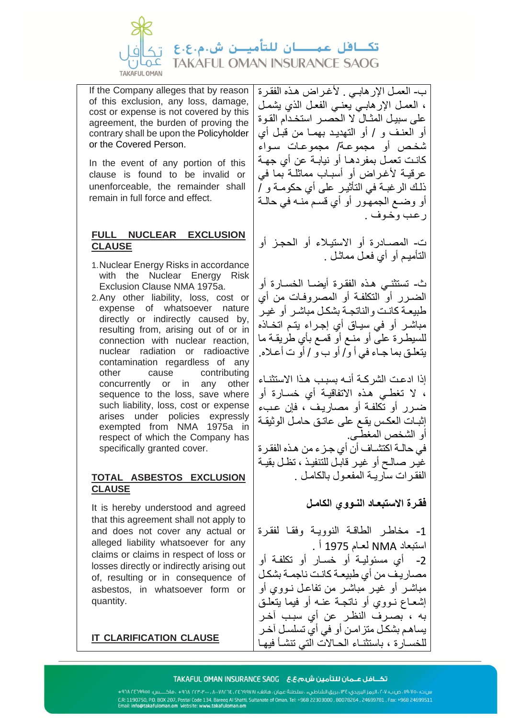

If the Company alleges that by reason of this exclusion, any loss, damage, cost or expense is not covered by this agreement, the burden of proving the contrary shall be upon the Policyholder or the Covered Person.

In the event of any portion of this clause is found to be invalid or unenforceable, the remainder shall remain in full force and effect.

## **FULL NUCLEAR EXCLUSION CLAUSE**

- 1.Nuclear Energy Risks in accordance with the Nuclear Energy Risk Exclusion Clause NMA 1975a.
- 2.Any other liability, loss, cost or expense of whatsoever nature directly or indirectly caused by, resulting from, arising out of or in connection with nuclear reaction, nuclear radiation or radioactive contamination regardless of any other cause contributing concurrently or in any other sequence to the loss, save where such liability, loss, cost or expense arises under policies expressly exempted from NMA 1975a in respect of which the Company has specifically granted cover.

## **TOTAL ASBESTOS EXCLUSION CLAUSE**

It is hereby understood and agreed that this agreement shall not apply to and does not cover any actual or alleged liability whatsoever for any claims or claims in respect of loss or losses directly or indirectly arising out of, resulting or in consequence of asbestos, in whatsoever form or quantity.

**IT CLARIFICATION CLAUSE**

ب - العمـل اإلرهابـي . ألغـراض هـذه الفقـرة ، العمـل اإلرهابـي يعنـي الفعـل الذي يشمـل على سبيـل المثـال ال الحصـر استخـدام القـوة أو العنـف و / أو التهديـد بهمـا من قبـل أي شخـص أو مجموعـة/ مجموعـات سـواء كانـت تعمـل بمفردهـا أو نيابـة عن أي جهـة عرقيـة لأغـراض أو أسبـاب مماثلـة بما في ذلـك الرغبـة في التأثيـر على أي حكومـة و / أو وضـع الجمهـور أو أي قسـم منـه في حالـة رعـب وخـوف .

ت - المصـادرة أو االستيـالء أو الحجـز أو التأميـم أو أي فعـل مماثـل .

ث - تستثنـي هـذه الفقـرة أيضـا الخسـارة أو الضـرر أو التكلفـة أو المصروفـات من أي طبيعـة كانـت والناتجـة بشكـل مباشـر أو غيـر مباشـر أو في سيـاق أي إجـراء يتـم اتخـاذه للسيطـرة على أو منـع أو قمـع بأي طريقـة ما يتعلـق بما جـاء في أ و/ أو ب و / أو ت أعـاله.

إذا ادعـت الشركـة أنـه بسبـب هـذا االستثنـاء ، ال تغطـي هـذه االتفاقيـة أي خسـارة أو ضـرر أو تكلفـة أو مصاريـف ، فإن عـبء إثبـات العكـس يقـع على عاتـق حامـل الوثيقـة أو الشخص المغطـى. في حالـة اكتشـاف أن أي جـزء من هـذه الفقـرة غيـر صالـح أو غيـر قابـل للتنفيـذ ، تظـل بقيـة الفقـرات ساريـة المفعـول بالكامـل .

**فقـرة االستبعـاد النـووي الكامـل** 

-1 مخاطـر الطاقـة النوويـة وفقـا لفقـرة استبعاد NMA لعـام 1975 أ . -2 أي مسئوليـة أو خسـار أو تكلفـة أو مصاريـف من أي طبيعـة كانـت ناجمـة بشكـل مباشـر أو غيـر مباشـر من تفاعـل نـووي أو إشعـاع نـووي أو ناتجـة عنـه أو فيما يتعلـق به ، بصـرف النظـر عن أي سبـب آخـر يساهـم بشكـل متزامـن أو في أي تسلسـل آخـر للخسـارة ، باستثنـاء الحـاالت التي تنشـأ فيهـا

#### تكافل علمان للتأمين ش.م.ع.ع. TAKAFUL OMAN INSURANCE SAOG E.E.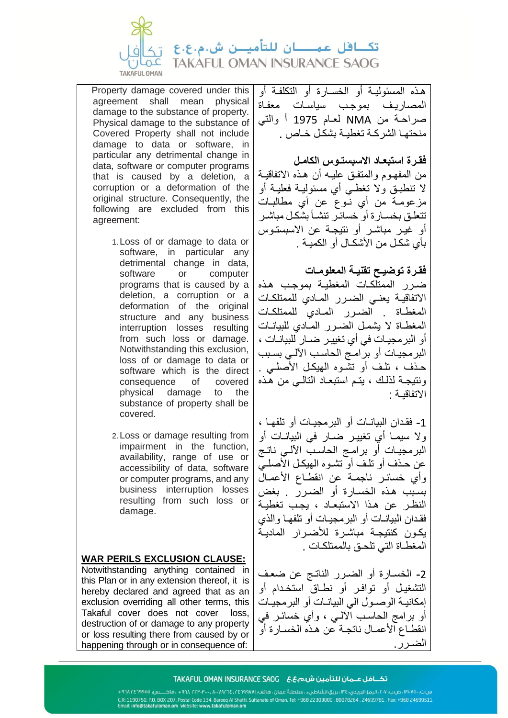

Property damage covered under this agreement shall mean physical damage to the substance of property. Physical damage to the substance of Covered Property shall not include damage to data or software, in particular any detrimental change in data, software or computer programs that is caused by a deletion, a corruption or a deformation of the original structure. Consequently, the following are excluded from this agreement:

- 1.Loss of or damage to data or software, in particular any detrimental change in data, software or computer programs that is caused by a deletion, a corruption or a deformation of the original structure and any business interruption losses resulting from such loss or damage. Notwithstanding this exclusion, loss of or damage to data or software which is the direct consequence of covered physical damage to the substance of property shall be covered.
- 2.Loss or damage resulting from impairment in the function, availability, range of use or accessibility of data, software or computer programs, and any business interruption losses resulting from such loss or damage.

## **WAR PERILS EXCLUSION CLAUSE:**

Notwithstanding anything contained in this Plan or in any extension thereof, it is hereby declared and agreed that as an exclusion overriding all other terms, this Takaful cover does not cover loss, destruction of or damage to any property or loss resulting there from caused by or happening through or in consequence of:

هـذه المسئوليـة أو الخسـارة أو التكلفـة أو المصاريـف بموجـب سياسـات معفـاة صراحـة من NMA لعـام 1975 أ والتي منحتهـا الشركـة تغطيـة بشكـل خـاص .

## **فقـرة استبعـاد االسبستـوس الكامـل**

من المفهـوم والمتفـق عليـه أن هـذه االتفاقيـة ال تنطبـق وال تغطـي أي مسئوليـة فعليـة أو مزعومـة من أي نـوع عن أي مطالبـات تتعلـق بخسـارة أو خسائـر تنشـأ بشكـل مباشـر أو غيـر مباشـر أو نتيجـة عن االسبستـوس بأي شكـل من األشكـال أو الكميـة .

## **فقـرة توضيـح تقنيـة المعلومـات**

ضـرر الممتلكـات المغطيـة بموجـب هـذه االتفاقيـة يعنـي الضـرر المـادي للممتلكـات المغطـاة . الضـرر المـادي للممتلكـات المغطـاة ال يشمـل الضـرر المـادي للبيانـات أو البرمجيـات في أي تغييـر ضـار للبيانـات ، البرمجيـات أو برامـج الحاسـب اآللـي بسـبب حـذف ، تلـف أو تشـوه الهيكـل األصلـي . ونتيجـة لذلـك ، يتـم استبعـاد التالـي من هـذه االتفاقيـة :

-1 فقـدان البيانـات أو البرمجيـات أو تلفهـا ، وال سيمـا أي تغييـر ضـار في البيانـات أو البرمجيـات أو برامـج الحاسـب اآللـي ناتـج عن حـذف أو تلـف أو تشـوه الهيكـل األصلـي وأي خسائـر ناجمـة عن انقطـاع األعمـال بسـبب هـذه الخسـارة أو الضـرر . بغض النظـر عن هـذا االستبعـاد ، يجـب تغطيـة فقـدان البيانـات أو البرمجيـات أو تلفهـا والذي يكـون كنتيجـة مباشـرة لألضـرار الماديـة المغطـاة التي تلحـق بالممتلكـات .

-2 الخسـارة أو الضـرر الناتـج عن ضعـف التشغيـل أو توافـر أو نطـاق استخـدام أو إمكانيـة الوصـول الي البيانـات أو البرمجيـات أو برامج الحاسـب اآللـي ، وأي خسائـر في انقطـاع الأعمـال ناتجـة عن هـذه الخسـارة أو الضـرر.

#### تكافل علمان للتأمين ش.م.ع.ع. TAKAFUL OMAN INSURANCE SAOG E.E.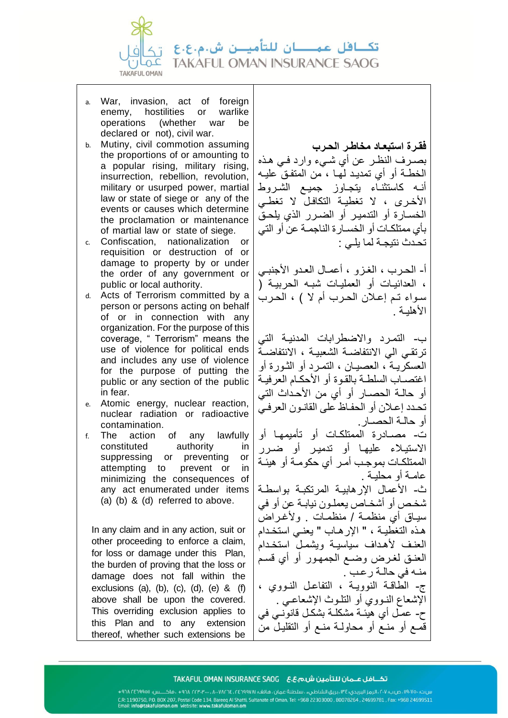

- a. War, invasion, act of foreign enemy, hostilities or warlike operations (whether war be declared or not), civil war.
- b. Mutiny, civil commotion assuming the proportions of or amounting to a popular rising, military rising, insurrection, rebellion, revolution, military or usurped power, martial law or state of siege or any of the events or causes which determine the proclamation or maintenance of martial law or state of siege.
- c. Confiscation, nationalization or requisition or destruction of or damage to property by or under the order of any government or public or local authority.
- d. Acts of Terrorism committed by a person or persons acting on behalf of or in connection with any organization. For the purpose of this coverage, " Terrorism" means the use of violence for political ends and includes any use of violence for the purpose of putting the public or any section of the public in fear.
- e. Atomic energy, nuclear reaction, nuclear radiation or radioactive contamination.
- f. The action of any lawfully constituted authority in suppressing or preventing or attempting to prevent or in minimizing the consequences of any act enumerated under items (a) (b) & (d) referred to above.

In any claim and in any action, suit or other proceeding to enforce a claim, for loss or damage under this Plan, the burden of proving that the loss or damage does not fall within the exclusions (a), (b), (c), (d), (e) & (f) above shall be upon the covered. This overriding exclusion applies to this Plan and to any extension thereof, whether such extensions be

**فقـرة استبعـاد مخاطـر الحـرب**  بصـرف النظـر عن أي شـيء وارد فـي هـذه الخطـة أو أي تمديـد لهـا ، من المتفـق عليـه أنـه كاستثنـاء يتجـاوز جميـع الشـروط األخـرى ، ال تغطيـة التكافـل ال تغطـي الخسـارة أو التدميـر أو الضـرر الذي يلحـق بأي ممتلكـات أو الخسـارة الناجمـة عن أو التي تحـدث نتيجـة لما يلـي :

أ- الحـرب ، الغـزو ، أعمـال العـدو األجنبـي ، العدائيـات أو العمليـات شبـه الحربيـة ) سـواء تـم إعـالن الحـرب أم ال ( ، الحـرب الأهلسة

ب - التمـرد واالضطرابات المدنيـة التي ترتقـي الي االنتفاضـة الشعبيـة ، االنتفاضـة العسكريـة ، العصيـان ، التمـرد أو الثـورة أو اغتصــاب السلطــة بـالقـوة أو الأحكــام الـعرفيــة أو حالـة الحصـار أو أي من األحـداث التي تحـدد إعـالن أو الحفـاظ على القانـون العرفـي أو حالـة الحصـار.

ت - مصـادرة الممتلكـات أو تأميمهـا أو االستيـالء عليهـا أو تدميـر أو ضـرر الممتلكـات بموجـب أمـر أي حكومـة أو هيئـة عامـة أو محليـة . ث - األعمال اإلرهابيـة المرتكبـة بواسطـة شخـص أو أشخـاص يعملـون نيابـة عن أو في سيـاق أي منظمـة / منظمـات . وألغـراض هـذه التغطيـة ، " اإلرهـاب " يعنـي استخـدام العنـف ألهـداف سياسيـة ويشمـل استخـدام العنـق لغـرض وضـع الجمهـور أو أي قسـم منـه في حالـة رعـب . ج- الطاقـة النوويـة ، التفاعـل النـووي ، اإلشعاع النـووي أو التلـوث اإلشعاعـي . ح- عمـل أي هيئـة مشكلـة بشكـل قانونـي في قمـع أو منـع أو محاولـة منـع أو التقليـل من

#### تكــافل عــمان للتأمين ش.م.ع.ع. TAKAFUL OMAN INSURANCE SAOG \_\_\_\_\_\_\_\_\_\_\_\_\_\_\_\_\_\_\_\_\_

س.ت. ١٩٠٧هـ، ص.١٧٠٧، الرمز البريدي، ٣٤، بريق الشاطيء ، سلطنة عمان ، هاتف: ٢٤٦٩٩٧٨، ٢٤٠٨/١٨٠٨ ، ٣٣٠٠٠، ماكـــس: ٣٤٦٩٨/٢٣٠١ + ٢٩٠٨ تصريح المريح المريح المريح المريح المسلم المسلم المسلم المسلم المسلم المسلم المسلم المسلم المسلم المسلم المسلم<br>ER: 1190750, P.O. BOX 207, Postal Code 134, Bareed Al Shatti, Sultanate of Oman, Tel: +968 22303000 , 80078264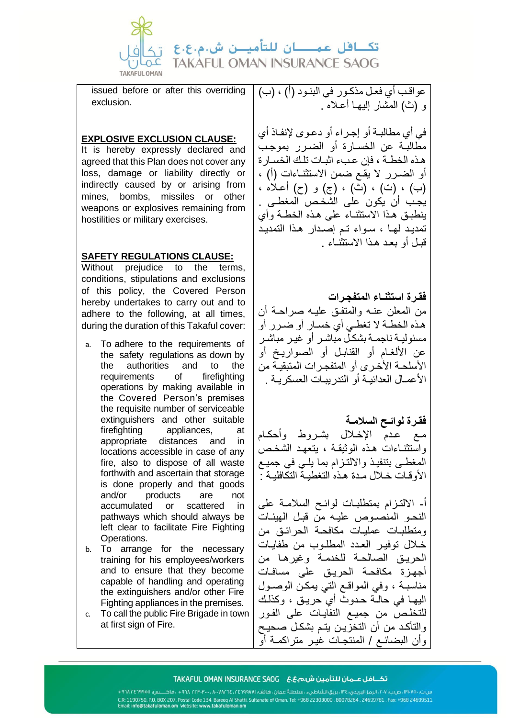

تكافل عمــان للتأميــن ش.م.ع.ع **TAKAFUL OMAN INSURANCE SAOG** 

issued before or after this overriding exclusion.

## **EXPLOSIVE EXCLUSION CLAUSE:**

It is hereby expressly declared and agreed that this Plan does not cover any loss, damage or liability directly or indirectly caused by or arising from mines, bombs, missiles or other weapons or explosives remaining from hostilities or military exercises.

## **SAFETY REGULATIONS CLAUSE:**

Without prejudice to the terms, conditions, stipulations and exclusions of this policy, the Covered Person hereby undertakes to carry out and to adhere to the following, at all times, during the duration of this Takaful cover:

- a. To adhere to the requirements of the safety regulations as down by the authorities and to the requirements of firefighting operations by making available in the Covered Person's premises the requisite number of serviceable extinguishers and other suitable firefighting appliances, at appropriate distances and in locations accessible in case of any fire, also to dispose of all waste forthwith and ascertain that storage is done properly and that goods and/or products are not accumulated or scattered in pathways which should always be left clear to facilitate Fire Fighting Operations.
- b. To arrange for the necessary training for his employees/workers and to ensure that they become capable of handling and operating the extinguishers and/or other Fire Fighting appliances in the premises.
- c. To call the public Fire Brigade in town at first sign of Fire.

عواقب أي فعـل مذكـور في البنـود (أ) ، (ب) و (ث) المُشار إليهـا أعـلاه .

في أي مطالبـة أو إجـراء أو دعـوى إلنفـاذ أي مطالبـة عن الخسـارة أو الضـرر بموجـب هـذه الخطـة ، فإن عـبء اثبـات تلـك الخسـارة أو الضـرر لا يقـع ضمن الاستثنـاءات (أ) ، )ب( ، )ت( ، )ث( ، )ج( و )ح( أعـاله ، يجـب أن يكون على الشخـص المغطـى . ينطبـق هـذا االستثنـاء على هـذه الخطـة وأي تمديـد لهـا ، سـواء تـم إصـدار هـذا التمديـد قبـل أو بعـد هـذا االستثنـاء .

**فقـرة استثنـاء المتفجـرات** 

من المعلن عنـه والمتفـق عليـه صراحـة أن هـذه الخطـة ال تغطـي أي خسـار أو ضـرر أو مسئوليـة ناجمـة بشكـل مباشـر أو غيـر مباشـر عن األلغـام أو القنابـل أو الصواريـخ أو الأسلحـة الأخـرى أو المتفجـرات المتبقيـة من الأعمـال العدائيـة أو التدريبـات العسكريـة .

**فقـرة لوائـح السالمـة**  مـع عـدم اإلخـالل بشـروط وأحكـام واستثنـاءات هـذه الوثيقـة ، يتعهـد الشخـص المغطـى بتنفيـذ وااللتـزام بما يلـي في جميـع األوقـات خـالل مـدة هـذه التغطيـة التكافليـة :

أ- االلتـزام بمتطلبـات لوائـح السالمـة على النحـو المنصـوص عليـه من قبـل الهيئـات ومتطل بـات عمليـات مكافحـة الحرائـق من خـالل توفيـر العـدد المطلـوب من طفايـات الحريـق الصالحـة للخدمـة وغيرهـا من أجهـزة مكافحـة الحريـق على مسافـات مناسبـة ، وفي المواقـع التي يمكـن الوصـول اليهـا في حالـة حـدوث أي حريـق ، وكذلـك للتخلـص من جميـع النفايـات على الفـور والتأكـد من أن التخزيـن يتـم بشكـل صحيـح وأن البضائـع / المنتجـات غيـر متراكمـة أو

#### تكافل علمان للتأمين ش.م.ع.ع. TAKAFUL OMAN INSURANCE SAOG E.E.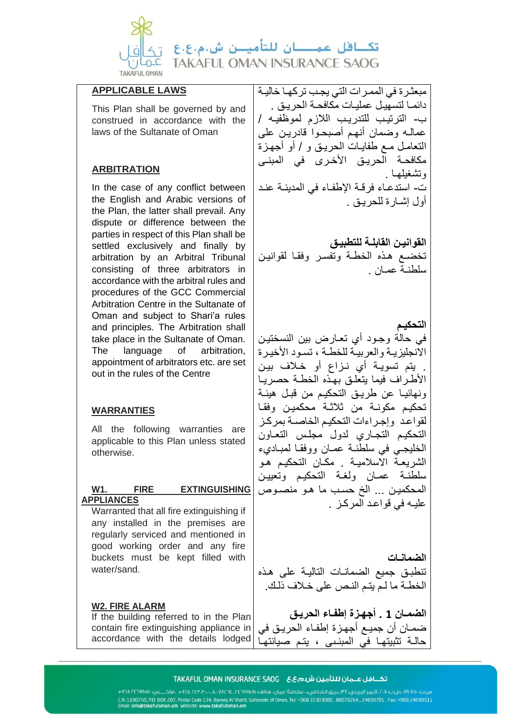

## **APPLICABLE LAWS**

This Plan shall be governed by and construed in accordance with the laws of the Sultanate of Oman

## **ARBITRATION**

In the case of any conflict between the English and Arabic versions of the Plan, the latter shall prevail. Any dispute or difference between the parties in respect of this Plan shall be settled exclusively and finally by arbitration by an Arbitral Tribunal consisting of three arbitrators in accordance with the arbitral rules and procedures of the GCC Commercial Arbitration Centre in the Sultanate of Oman and subject to Shari'a rules and principles. The Arbitration shall take place in the Sultanate of Oman. The language of arbitration, appointment of arbitrators etc. are set out in the rules of the Centre

## **WARRANTIES**

All the following warranties are applicable to this Plan unless stated otherwise.

## **W1. FIRE EXTINGUISHING APPLIANCES**

Warranted that all fire extinguishing if any installed in the premises are regularly serviced and mentioned in good working order and any fire buckets must be kept filled with water/sand.

## **W2. FIRE ALARM**

If the building referred to in the Plan contain fire extinguishing appliance in accordance with the details lodged

مبعثـرة في الممـرات التي يجـب تركهـا خاليـة دائمـا لتسهيـل عمليـات مكافحـة الحريـق . ب - الترتيـب للتدريـب الالزم لموظفيـه / عمالـه وضمان أنهـم أصبحـوا قادريـن على التعامـل مـع طفايـات الحريـق و / أو أجهـزة مكافحـة الحريـق األخـرى في المبنـى وتشغيلهـا . ت - استدعـاء فرقـة اإلطفـاء في المدينـة عنـد أول إشـارة للحريـق .

**القوانيـن القابلـة للتطبيـق**  تخضـع هـذه الخطـة وتفسـر وفقـا لقوانيـن سلطنـة عمـان .

**التحكيـم**  في حالة وجـود أي تعـارض بين النسختيـن الأنجليزيــة والعربيــة للخطــة ، تسـود الأخيـر ة . يتم تسويـة أي نـزاع أو خـالف بيـن األطـراف فيما يتعلـق بهـذه الخطـة حصريـا ونهائيـا عن طريـق التحكيـم من قبـل هيئـة تحكيـم مكونـة من ثالثـة محكميـن وفقـا لقواعـد وإجـراءات التحكيـم الخاصـة بمركـز التحكيـم التجـاري لدول مجلـس التعـاون الخليجـي في سلطنـة عمـان ووفقـا لمبـاديء الشريعـة االسالميـة . مكـان التحكيـم هـو سلطنـة عمـان ولغـة التحكيـم وتعييـن المحكميـن ... الخ حسـب ما هـو منصـوص عليـه في قواعـد المركـز .

**الضمانـات**  تنطبـق جميع الضمانـات التاليـة على هـذه الخطـة ما لـم يتـم النـص على خـالف ذلـك.

**الضمـان 1 . أجهـزة إطفـاء الحريـق**  ضمـان أن جميـع أجهـزة إطفـاء الحريـق في حالـة تثبيتهـا في المبنـىى ، يتـم صيانتهـا

#### تكافل علمان للتأمين ش.م.ع.ع. TAKAFUL OMAN INSURANCE SAOG E.E.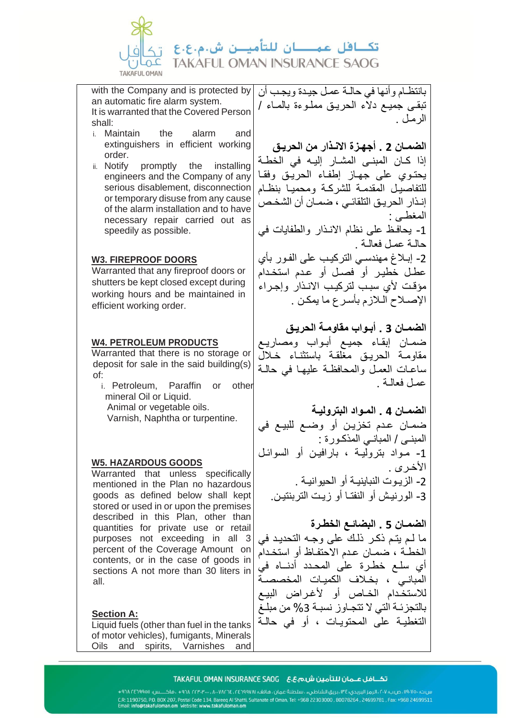

بانتظـام وأنها في حالـة عمـل جيـدة ويجـب أن تبقـى جميـع دالء الحريـق مملـوءة بالمـاء / الرمـل . **الضمـان 2 . أجهـزة االنـذار من الحريـق**  إذا كـان المبنـى المشـار إليـه في الخطـة يحتـوي على جهـاز إطفـاء الحريـق وفقـا للتفاصيـل المقدمـة للشركـة ومحميـا بنظـام إنـذار الحريـق التلقائـي ، ضمـان أن الشخـص المغطـى : -1 يحافـظ على نظام االنـذار والطفايات في حالـة عمـل فعالـة . -2 إبـالغ مهندسـي التركيـب على الفـور بأي عطل خطير أو فصل أو عدم استخدام مؤقت لأى سبب لتركيب الانـذار وإجراء اإلصـالح الـالزم بأسـرع ما يمكـن . **الضمـان 3 . أبـواب مقاومـة الحريـق**  ضمـان إبقـاء جميـع أبـواب ومصاريـع مقاومـة الحريـق مغلقـة باستثنـاء خـالل ساعـات العمـل والمحافظـة عليهـا في حالـة عمـل فعالـة . ا**لضمـان 4 . المـواد البتروليـة**  ضمـان عـدم تخزيـن أو وضـع للبيـع في المبنـى / المبانـي المذكـورة : -1 مـواد بتروليـة ، بارافيـن أو السوائـل الأخـر ي . -2 الزيـوت النباينيـة أو الحيوانيـة . 3- الورنيش أو النفتـا أو زيـت التربنتيـن. **الضمـان 5 . البضائـع الخطـرة**  ما لـم يتـم ذكـر ذلـك على وجـه التحديـد في الخطـة ، ضمـان عـدم االحتفـاظ أو استخـدام أي سلـع خطـرة على المحـدد أدنــاه في المبانـي ، بخـالف الكميـات المخصصـة لالستخـدام الخـاص أو ألغـراض البيـع with the Company and is protected by an automatic fire alarm system. It is warranted that the Covered Person shall: i. Maintain the alarm and extinguishers in efficient working order. ii. Notify promptly the installing engineers and the Company of any serious disablement, disconnection or temporary disuse from any cause of the alarm installation and to have necessary repair carried out as speedily as possible. **W3. FIREPROOF DOORS** Warranted that any fireproof doors or shutters be kept closed except during working hours and be maintained in efficient working order. **W4. PETROLEUM PRODUCTS** Warranted that there is no storage or deposit for sale in the said building(s) of: i. Petroleum, Paraffin or other mineral Oil or Liquid. Animal or vegetable oils. Varnish, Naphtha or turpentine. **W5. HAZARDOUS GOODS** Warranted that unless specifically mentioned in the Plan no hazardous goods as defined below shall kept stored or used in or upon the premises described in this Plan, other than quantities for private use or retail purposes not exceeding in all 3 percent of the Coverage Amount on contents, or in the case of goods in sections A not more than 30 liters in all.

## **Section A:**

Liquid fuels (other than fuel in the tanks of motor vehicles), fumigants, Minerals Oils and spirits, Varnishes and

#### تكــافل عــمان للتأمين ش.م.ع.ع. TAKAFUL OMAN INSURANCE SAOG \_\_\_\_\_\_\_\_\_\_\_\_\_\_\_\_\_\_\_\_\_

بالتجزئـة التي ال تتجـاوز نسبـة %3 من مبلـغ التغطيـة على المحتويـات ، أو في حالـة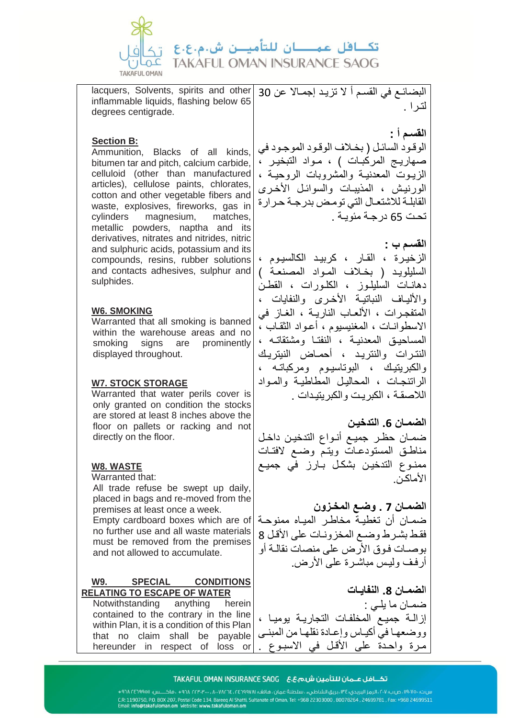

البضائـع في القسـم أ ال تزيـد إجمـاال عن 30 لتـرا . lacquers, Solvents, spirits and other inflammable liquids, flashing below 65 degrees centigrade.

### **Section B:**

Ammunition, Blacks of all kinds, bitumen tar and pitch, calcium carbide, celluloid (other than manufactured articles), cellulose paints, chlorates, cotton and other vegetable fibers and waste, explosives, fireworks, gas in cylinders magnesium, matches, metallic powders, naptha and its derivatives, nitrates and nitrides, nitric and sulphuric acids, potassium and its compounds, resins, rubber solutions and contacts adhesives, sulphur and sulphides.

## **W6. SMOKING**

Warranted that all smoking is banned within the warehouse areas and no smoking signs are prominently displayed throughout.

## **W7. STOCK STORAGE**

Warranted that water perils cover is only granted on condition the stocks are stored at least 8 inches above the floor on pallets or racking and not directly on the floor.

## **W8. WASTE**

Warranted that:

All trade refuse be swept up daily, placed in bags and re-moved from the premises at least once a week.

Empty cardboard boxes which are of no further use and all waste materials must be removed from the premises and not allowed to accumulate.

**W9. SPECIAL CONDITIONS RELATING TO ESCAPE OF WATER** Notwithstanding anything herein contained to the contrary in the line within Plan, it is a condition of this Plan that no claim shall be payable

hereunder in respect of loss or

**القسـم أ :**  الوقـود السائـل ) بخـالف الوقـود الموجـود في صهاريـج المركبـات ( ، مـواد التبخيـر ، الزيـوت المعدنيـة والمشروبات الروحيـة ، الورنيـش ، المذيبـات والسوائـل األخـرى القابلـة لالشتعـال التي تومـض بدرجـة حـرارة تحـت 65 درجـة مئويـة .

**القسـم ب :**  الزخيـرة ، القـار ، كربيـد الكالسيـوم ، السليلويـد ) بخـالف المـواد المصنعـة ( دهانـات السليلـوز ، الكلـورات ، القطـن واألليـاف النباتيـة األخـرى والنفايات ، المتفجـرات ، األلعـاب الناريـة ، الغـاز في االسطوانـات ، المغنيسيوم ، أعـواد الثقـاب ، المساحيـق المعدنيـة ، النفتـا ومشتقاتـه ، النتـرات والنتريـد ، أحمـاض النيتريـك والكبريتيـك ، البوتاسيـوم ومركباتـه ، الراتنجـات ، المحاليـل المطاطيـة والمـواد الالصقـة ، الكبريـت والكبريتيـدات .

**الضمـان .6 التدخيـن**  ضمـان حظـر جميـع أنـواع التدخيـن داخـل مناطـق المستودعـات ويتـم وضـع الفتـات ممنـوع التدخيـن بشكـل بـارز في جميـع األماكـن.

**الضمـان 7 . وضـع المخـزون**  ضمـان أن تغطيـة مخاطـر الميـاه ممنوحـة فقـط بشـرط وضـع المخزونـات على األقـل 8 بوصـات فـوق األرض على منصات نقالـة أو أر فـف و لبـس مباشـر ة علـي الأر ض.

ا**لضمـان .8 النفايـات**  ضمـان ما يلـي : إزالـة جميـع المخلفـات التجاريـة يوميـا ، ووضعهـا في أكيـاس وإعـادة نقلهـا من المبنـى مـرة واحـدة على األقـل في االسبـوع .

#### تكافل علمان للتأمين ش.م.ع.ع. TAKAFUL OMAN INSURANCE SAOG E.E.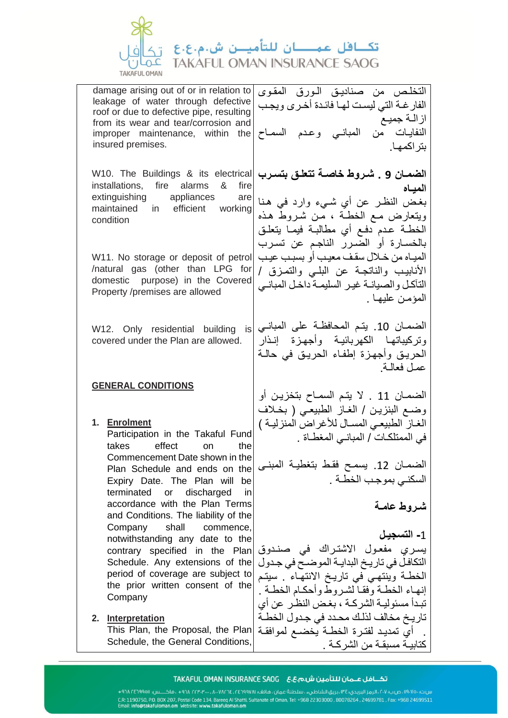

التخلـص من صناديـق الـورق المقـوى الفارغـة التي ليسـت لهـا فائـدة أخـرى ويجـب ازالـة جميـع النفايـات من المبانـي وعـدم السمـاح بتراكمهـا. **الضمـان 9 . شـروط خاصـة تتعلـق بتسـرب الميـاه**  بغـض النظـر عن أي شـيء وارد في هـنا ويتعارض مـع الخطـة ، مـن شـروط هـذه الخطـة عـدم دفـع أي مطالبـة فيمـا يتعلـق بالخسـارة أو الضـرر الناجـم عن تسـرب الميـاه من خـالل سقـف معيـب أو بسبـب عيـب األنابيـب والناتجـة عن البلـي والتمـزق / التآكـل والصيانـة غيـر السليمـة داخـل المبانـي المؤمـن عليهـا . الضمـان .10 يتـم المحافظـة على المبانـي وتركيباتهـا الكهربائيـة وأجهـزة إنـذار الحريـق وأجهـزة إطفـاء الحريـق في حالـة عمـل فعالـة. الضمـان 11 . ال يتـم السمـاح بتخزيـن أو وضـع البنزيـن / الغـاز الطبيعـي ) بخـالف الغـاز الطبيعـي المسـال لألغراض المنزليـة ( في الممتلكـات / المبانـي المغطـاة . الضمـان .12 يسمـح فقـط بتغطيـة المبنـى السكنـي بموجـب الخطـة . **شـروط عامـة -**1 **التسجيـل** يسـري مفعـول االشتـراك في صنـدوق التكافـل في تاريـخ البدايـة الموضـح في جـدول الخطـة وينتهـي في تاريـخ االنتهـاء . سيتـم إنهـاء الخطـة وفقـا لشـروط وأحكـام الخطـة . تبـدأ مسئوليـة الشركـة ، بغـض النظـر عن أي تاريـخ مخالف لذلـك محـدد في جـدول الخطـة . أي تمديـد لفتـرة الخطـة يخضـع لموافقـة كتابيـة مسبقـة من الشركـة . damage arising out of or in relation to leakage of water through defective roof or due to defective pipe, resulting from its wear and tear/corrosion and improper maintenance, within the insured premises. W<sub>10</sub>. The Buildings & its electrical installations, fire alarms & fire extinguishing appliances maintained in efficient condition W<sub>11</sub>. No storage or deposit of petrol /natural gas (other than LPG for domestic purpose) in the Covered Property /premises are allowed W12. Only residential building is covered under the Plan are allowed. **GENERAL CONDITIONS 1. Enrolment** Participation in the Takaful Fund takes effect on the Commencement Date shown in the Plan Schedule and ends on the Expiry Date. The Plan will be terminated or discharged in accordance with the Plan Terms and Conditions. The liability of the Company shall commence, notwithstanding any date to the contrary specified in the Plan Schedule. Any extensions of the period of coverage are subject to the prior written consent of the Company **2. Interpretation** This Plan, the Proposal, the Plan Schedule, the General Conditions,

####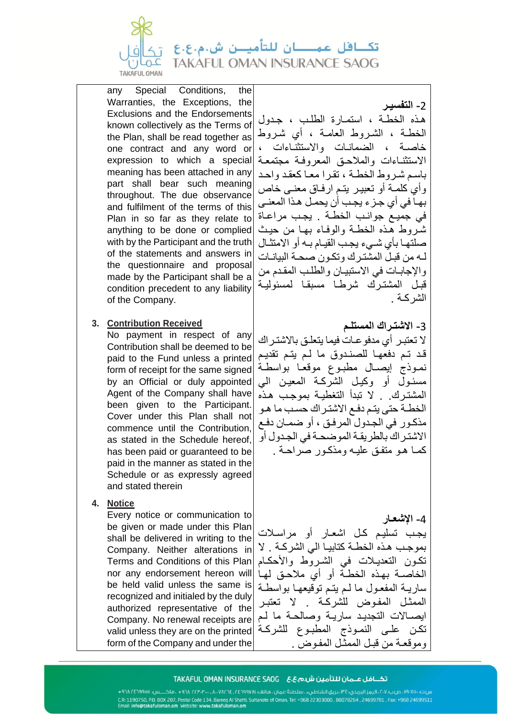

تكــاقل عهــــان للتأميــن ش.م.ع.ع **TAKAFUL OMAN INSURANCE SAOG** 

any Special Conditions, the Warranties, the Exceptions, the Exclusions and the Endorsements known collectively as the Terms of the Plan, shall be read together as one contract and any word or expression to which a special meaning has been attached in any part shall bear such meaning throughout. The due observance and fulfilment of the terms of this Plan in so far as they relate to anything to be done or complied with by the Participant and the truth of the statements and answers in the questionnaire and proposal made by the Participant shall be a condition precedent to any liability of the Company.

#### **3. Contribution Received**

No payment in respect of any Contribution shall be deemed to be paid to the Fund unless a printed form of receipt for the same signed by an Official or duly appointed Agent of the Company shall have been given to the Participant. Cover under this Plan shall not commence until the Contribution, as stated in the Schedule hereof, has been paid or guaranteed to be paid in the manner as stated in the Schedule or as expressly agreed and stated therein

**4. Notice**

Every notice or communication to be given or made under this Plan shall be delivered in writing to the Company. Neither alterations in Terms and Conditions of this Plan nor any endorsement hereon will be held valid unless the same is recognized and initialed by the duly authorized representative of the Company. No renewal receipts are valid unless they are on the printed form of the Company and under the

-2 **التفسيـر** 

هـذه الخطـة ، استمـارة الطلـب ، جـدول الخطـة ، الشـروط العامـة ، أي شـروط خاصـة ، الضمانـات واالستثنـاءات ، االستثنـاءات والمالحـق المعروفـة مجتمعـة باسـم شـروط الخطـة ، تقـرا معـا كعقـد واحـد وأي كلمـة أو تعبيـر يتـم ارفـاق معنـى خاص بهـا في أي جـزء يجـب أن يحمـل هـذا المعنـى في جميـع جوانـب الخطـة . يجـب مراعـاة شـروط هـذه الخطـة والوفـاء بهـا من حيـث صلتهـا بأي شـيء يجـب القيـام بـه أو االمتثـال لـه من قبـل المشتـرك وتكـون صحـة البيانـات واإلجابـات في االستبيـان والطلـب المقـدم من قبـل المشتـرك شرطـا مسبقـا لمسئوليـة الشركـة .

-3 **االشتـراك المستلـم**  ال تعتبـر أي مدفوعـات فيما يتعلـق باالشتـراك قـد تـم دفعهـا للصنـدوق ما لـم يتـم تقديـم نمـوذج إيصـال مطبـوع موقعـا بواسطـة مسئـول أو وكيـل الشركـة المعيـن الي المشتـرك. . ال تبدأ التغطيـة بموجـب هـذه الخطـة حتى يتـم دفـع االشتـراك حسـب ما هـو مذكـور في الجـدول المرفـق ، أو ضمـان دفـع االشتـراك بالطريقـة الموضحـة في الجـدول أو كمـا هـو متفـق عليـه ومذكـور صراحـة .

-4 **اإلشعـار**  يجـب تسليـم كـل اشعـار أو مراسـالت بموجـب هـذه الخطـة كتابيـا الي الشركـة . ال تكـون التعديـالت في الشـروط واألحكـام الخاصـة بهـذه الخطـة أو أي مالحـق لهـا ساريـة المفعـول ما لـم يتـم توقيعهـا بواسطـة الممثـل المفـوض للشركـة . ال تعتبـر ايصـاالت التجديـد ساريـة وصالحـة ما لـم تكـن علـى النمـوذج المطبـوع للشركـة وموقعـة من قبـل الممثـل المفـوض .

#### تكافل علمان للتأمين ش.م.ع.ع. TAKAFUL OMAN INSURANCE SAOG E.E.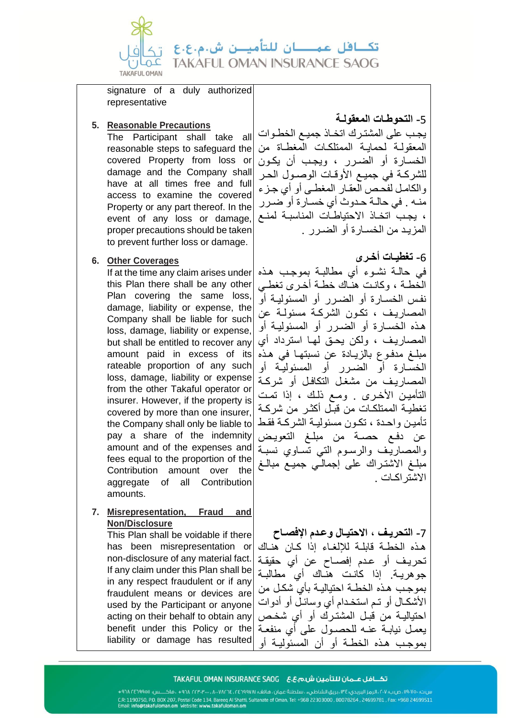

signature of a duly authorized representative

## **5. Reasonable Precautions**

The Participant shall take all reasonable steps to safeguard the covered Property from loss or damage and the Company shall have at all times free and full access to examine the covered Property or any part thereof. In the event of any loss or damage, proper precautions should be taken to prevent further loss or damage.

#### **6. Other Coverages**

If at the time any claim arises under this Plan there shall be any other Plan covering the same loss, damage, liability or expense, the Company shall be liable for such loss, damage, liability or expense, but shall be entitled to recover any amount paid in excess of its rateable proportion of any such loss, damage, liability or expense from the other Takaful operator or insurer. However, if the property is covered by more than one insurer, the Company shall only be liable to pay a share of the indemnity amount and of the expenses and fees equal to the proportion of the Contribution amount over the aggregate of all Contribution amounts.

## **7. Misrepresentation, Fraud and Non/Disclosure**

This Plan shall be voidable if there has been misrepresentation or non-disclosure of any material fact. If any claim under this Plan shall be in any respect fraudulent or if any fraudulent means or devices are used by the Participant or anyone acting on their behalf to obtain any benefit under this Policy or the liability or damage has resulted -5 **التحوطـات المعقولـة**

يجـب على المشتـرك اتخـاذ جميـع الخطـوات المعقولـة لحمايـة الممتلكـات المغطـاة من الخسـارة أو الضـرر ، ويجـب أن يكـون للشركـة في جميـع الأوقـات الوصـول الحـر والكامـل لفحـص العقـار المغطـى أو أي جـزء منـه . في حالـة حـدوث أي خسـارة أو ضـرر ، يجـب اتخـاذ اال حتياطـات المناسبـة لمنـع المزيـد من الخسـارة أو الضـرر .

-6 **تغطيـات أخـرى**

في حالـة نشـوء أي مطالبـة بموجـب هـذه الخطـة ، وكانـت هنـاك خطـة أخـرى تغطـي نفـس الخسـارة أو الضـرر أو المسئوليـة أو المصاريـف ، تكـون الشركـة مسئولـة عن هـذه الخسـارة أو الضـرر أو المسئوليـة أو المصاريـف ، ولكن يحـق لهـا استرداد أي مبلـغ مدفـوع بالزيـادة عن نسبتهـا في هـذه الخسـارة أو الضـرر أو المسئوليـة أو المصاريـف من مشغـل التكافـل أو شركـة التأمين الأخرى . ومـع ذلك ، إذا تمت تغطيـة الممتلكـات من قبـل أكثـر من شركـة تأميـن واحـدة ، تكـون مسئوليـة الشركـة فقط عن دفـع حصـة من مبلـغ التعويـض والمصاريـف والرسـوم التي تسـاوي نسبـة مبلـغ االشتـراك على إجمالـي جميـع مبالـغ االشتراكـات .

-7 **التحريـف ، االحتيـال وعـدم اإلفصـاح**

هـذه الخطـة قابلـة لإللغـاء إذا كـان هنـاك تحريـف أو عـدم إفصـاح عن أي حقيقـة جوهريـة. إذا كانـت هنـاك أي مطالبـة بموجـب هـذه الخطـة احتياليـة بأي شكـل من األشكـال أو تـم استخـدام أي وسائـل أو أدوات احتياليـة من قبـل المشتـرك أو أي شخـص يعمـل نيابـة عنـه للحصـول على أي منفعـة بموجـب هـذه الخطـة أو أن المسئوليـة أو

####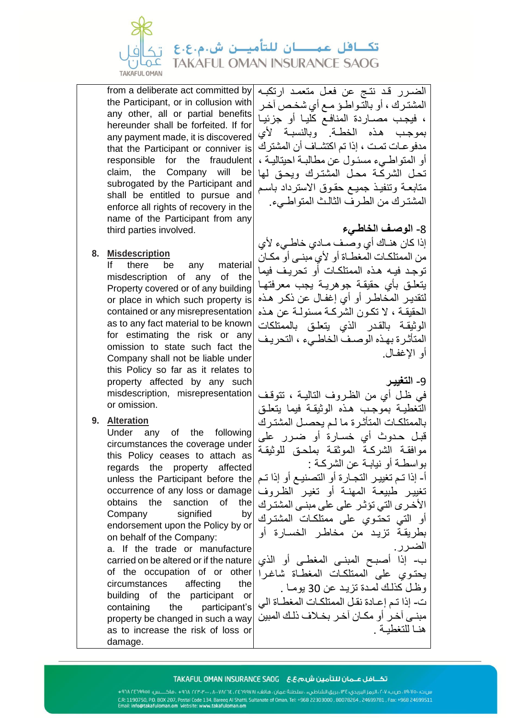

تكــاقل عهــــان للتأميــن ش.م.ع.ع **TAKAFUL OMAN INSURANCE SAOG** 

from a deliberate act committed by the Participant, or in collusion with any other, all or partial benefits hereunder shall be forfeited. If for any payment made, it is discovered that the Participant or conniver is responsible for the fraudulent claim, the Company will be subrogated by the Participant and shall be entitled to pursue and enforce all rights of recovery in the name of the Participant from any third parties involved.

#### **8. Misdescription**

If there be any material misdescription of any of the Property covered or of any building or place in which such property is contained or any misrepresentation as to any fact material to be known for estimating the risk or any omission to state such fact the Company shall not be liable under this Policy so far as it relates to property affected by any such misdescription, misrepresentation or omission.

#### **9. Alteration**

Under any of the following circumstances the coverage under this Policy ceases to attach as regards the property affected unless the Participant before the occurrence of any loss or damage obtains the sanction of the Company signified by endorsement upon the Policy by or on behalf of the Company:

a. If the trade or manufacture carried on be altered or if the nature of the occupation of or other circumstances affecting the building of the participant or containing the participant's property be changed in such a way as to increase the risk of loss or damage.

الضـرر قـد نتـج عن فعـل متعمـد ارتكبـه المشتـرك ، أو بالتـواطـؤ مـع أي شخـص آخـر ، فيجـب مصـاردة المنافـع كليـا أو جزئيـا بموجـب هـذه الخطـة. وبالنسبـة ألي مدفوعـات تمـت ، إذا تم اكتشـاف أن المشترك أو المتواطـيء مسئـول عن مطالبـة احيتاليـة ، تحـل الشركـة محـل المشتـرك ويحـق لها متابعـة وتنفيـذ جميـع حقـوق االسترداد باسـم المشتـرك من الطـرف الثالـث المتواطـيء.

-8 **الوصـف الخاطـيء** إذا كان هنـاك أي وصـف مـادي خاطـيء ألي من الممتلكـات المغطـاة أو ألي مبنـى أو مكـان توجـد فيـه هـذه الممتلكـات أو تحريـف فيما يتعلـق بأي حقيقـة جوهريـة يجب معرفتهـا لتقديـر المخاطـر أو أي إغفـال عن ذكـر هـذه الحقيقـة ، ال تكـون الشركـة مسئولـة عن هـذه الوثيقـة بالقـدر الذي يتعلـق بالممتلكات المتأثـرة بهـذه الوصـف الخاطـيء ، التحريـف أو اإلغفـال.

-9 **التغييـر**  في ظـل أي من الظـروف التاليـة ، تتوقـف التغطيـة بموجـب هـذه الوثيقـة فيما يتعلـق بالممتلكـات المتأثـرة ما لـم يحصـل المشتـرك قبـل حـدوث أي خسـارة أو ضـرر على موافقـة الشركـة الموثقـة بملحـق للوثيقـة بواسطـة أو نيابـة عن الشركـة : أ- إذا تـم تغييـر التجـارة أو التصنيـع أو إذا تـم تغييـر طبيعـة المهنـة أو تغيـر الظـروف األخـرى التي تؤثـر على على مبنـى المشتـرك أو التي تحتـوي على ممتلكـات المشتـرك بطريقـة تزيـد من مخاطـر الخسـارة أو الضـرر. ب - إذا أصبـح المبنـى المغطـى أو الذي يحتـوي على الممتلكـات المغطـاة شاغـرا وظـل كذلـك لمـدة تزيـد عن 30 يومـا . ت - إذا تـم إعـادة نقـل الممتلكـات المغطـاة الي مبنـى آخـر أو مكـان آخـر بخـالف ذلـك المبين هنـا للتغطيـة .

####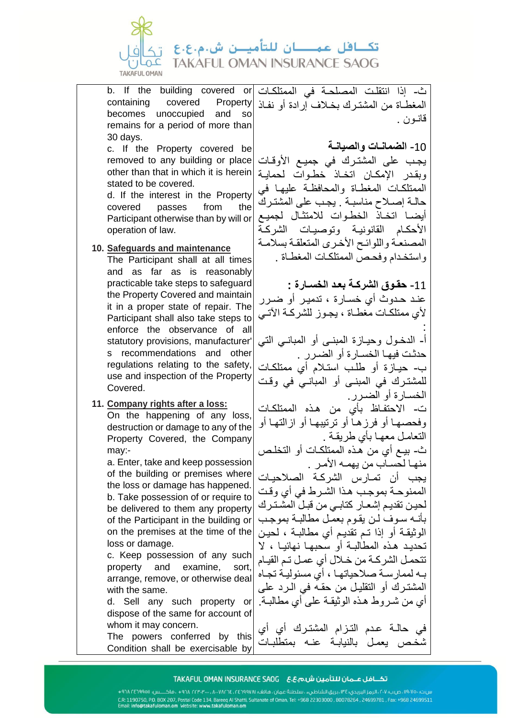

b. If the building covered or containing covered Property becomes unoccupied and so remains for a period of more than 30 days.

c. If the Property covered be removed to any building or place other than that in which it is herein stated to be covered.

d. If the interest in the Property covered passes from the Participant otherwise than by will or operation of law.

## **10. Safeguards and maintenance**

The Participant shall at all times and as far as is reasonably practicable take steps to safeguard the Property Covered and maintain it in a proper state of repair. The Participant shall also take steps to enforce the observance of all statutory provisions, manufacturer' s recommendations and other regulations relating to the safety, use and inspection of the Property Covered.

### **11. Company rights after a loss:**

On the happening of any loss, destruction or damage to any of the Property Covered, the Company may:-

a. Enter, take and keep possession of the building or premises where the loss or damage has happened. b. Take possession of or require to be delivered to them any property of the Participant in the building or on the premises at the time of the loss or damage.

c. Keep possession of any such property and examine, sort, arrange, remove, or otherwise deal with the same.

d. Sell any such property or dispose of the same for account of whom it may concern.

The powers conferred by this Condition shall be exercisable by

ث - إذا انتقلـت المصلحـة في الممتلكـات المغطـاة من المشتـرك بخـالف إرادة أو نفـاذ قانـون .

-10 **الضمانـات والصيانـة**  يجـب على المشتـرك في جميـع األوقـات وبقـدر اإلمكـان اتخـاذ خطـوات لحمايـة الممتلكـات المغطـاة والمحافظـة عليهـا في حالـة إصـالح مناسبـة . يجـب على المشتـرك أيضـا اتخـاذ الخطـوات لالمتثـال لجميـع األحكـام القانونيـة وتوصيـات الشركـة المصنعـة واللوائـح الأخـرى المتعلقـة بسلامـة واستخـدام وفحـص الممتلكـات المغطـاة .

-11 **حقـوق الشركـة بعـد الخسـارة :**  عنـد حـدوث أي خسـارة ، تدميـر أو ضـرر ألي ممتلكـات مغطـاة ، يجـوز للشركـة اآلتـي : أ- الدخـول وحيـازة المبنـى أو المبانـي التي حدثـت فيهـا الخسـارة أو الضـرر . ب - حيـازة أو طلـب استـالم أي ممتلكـات للمشتـرك في المبنـى أو المبانـي في وقـت الخسـارة أو الضـرر. ت - االحتفـاظ بأي من هـذه الممتلكـات وفحصهـا أو فرزهـا أو ترتيبهـا أو ازالتهـا أو التعامـل معهـا بأي طريقـة . ث - بيـع أي من هـذه الممتلكـات أو التخلـص منهـا لحسـاب من يهمـه األمـر . يجب أن تمـارس الشركـة الصالحيـات الممنوحـة بموجـب هـذا الشـرط في أي وقـت لحيـن تقديـم إشعـار كتابـي من قبـل المشـتـرك بأنـه سـوف لـن يقـوم بعمـل مطالبـة بموجـب الوثيقـة أو إذا تـم تقديـم أي مطالبـة ، لحيـن تحديـد هـذه المطالبـة أو سحبهـا نهائيـا ، ال تتحمـل الشركـة من خـالل أي عمـل تـم القيـام بـه لممارسـة صالحياتهـا ، أي مسئوليـة تجـاه المشتـرك أو التقليـل من حقـه في الـرد على أي من شـروط هـذه الوثيقـة على أي مطالبـة. في حالـة عـدم التـزام المشتـرك أي أي شخـص يعمـل بالنيابـة عنـه بمتطلبـات

#### تكافل علمان للتأمين ش.م.ع.ع. TAKAFUL OMAN INSURANCE SAOG E.E.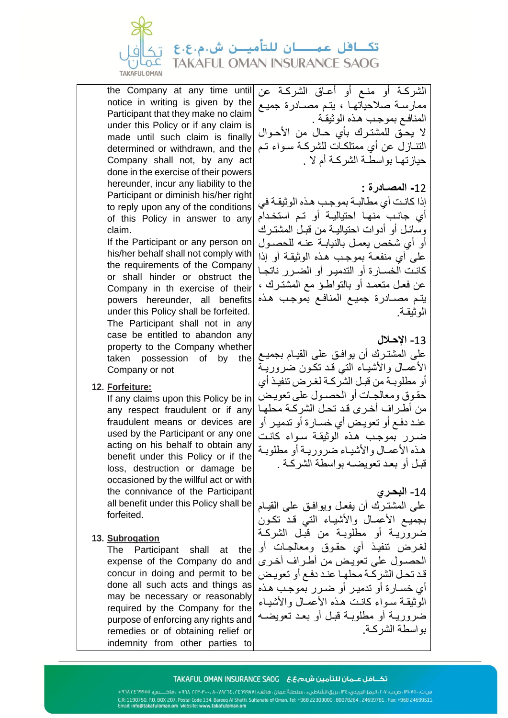

تكافل عمــان للتأميــن ش.م.ع.ع **TAKAFUL OMAN INSURANCE SAOG** 

the Company at any time until notice in writing is given by the Participant that they make no claim under this Policy or if any claim is made until such claim is finally determined or withdrawn, and the Company shall not, by any act done in the exercise of their powers hereunder, incur any liability to the Participant or diminish his/her right to reply upon any of the conditions of this Policy in answer to any claim.

If the Participant or any person on his/her behalf shall not comply with the requirements of the Company or shall hinder or obstruct the Company in th exercise of their powers hereunder, all benefits under this Policy shall be forfeited. The Participant shall not in any case be entitled to abandon any property to the Company whether Company or not

**12. Forfeiture:**

If any claims upon this Policy be in any respect fraudulent or if any fraudulent means or devices are used by the Participant or any one acting on his behalf to obtain any benefit under this Policy or if the loss, destruction or damage be occasioned by the willful act or with the connivance of the Participant all benefit under this Policy shall be forfeited.

#### **13. Subrogation**

The Participant shall at the expense of the Company do and concur in doing and permit to be done all such acts and things as may be necessary or reasonably required by the Company for the purpose of enforcing any rights and remedies or of obtaining relief or indemnity from other parties to

الشركـة أو منـع أو أعـاق الشركـة عن ممارسـة صالحياتهـا ، يتـم مصـادرة جميـع المنافـع بموجـب هـذه الوثيقـة . ال يحـق للمشتـرك بأي حـال من األحـوال التنـازل عن أي ممتلكـات للشركـة سـواء تـم حيازتهـا بواسطـة الشركـة أم ال .

**-**12 **المصـادرة :** إذا كانـت أي مطالبـة بموجـب هـذه الوثيقـة في أي جانـب منهـا احتياليـة أو تـم استخـدام وسائـل أو أدوات احتياليـة من قبـل المشتـرك أو أي شخص يعمـل بالنيابـة عنـه للحصـول على أي منفعـة بموجـب هـذه الوثيقـة أو إذا كانـت الخسـارة أو التدميـر أو الضـرر ناتجـا عن فعـل متعمـد أو بالتواطـؤ مع المشتـرك ، يتـم مصـادرة جميـع المنافـع بموجـب هـذه الوثيقـة.

-13 **اإلحـالل** على المشتـرك أن يوافـق على القيـام بجميـع taken possession of by the الأعمـال والأشيـاء التـي قـد تكـون ضروريـة أو مطلوبـة من قبـل الشركـة لغـرض تنفيـذ أي حقـوق ومعالجـات أو الحصـول على تعويـض من أطـراف أخـرى قـد تحـل الشركـة محلهـا عنـد دفـع أو تعويـض أي خسـارة أو تدميـر أو ضـرر بموجـب هـذه الوثيقـة سـواء كانـت هـذه الأعمـال والأشبيـاء ضرور بـة أو مطلوبـة قبـل أو بعـد تعويضـه بواسطة الشركـة .

## -14 **البحـري**

على المشتـرك أن يفعـل ويوافـق على القيـام بجميـع األعمـال واألشيـاء التي قـد تكـون ضروريـة أو مطلوبـة من قبـل الشركـة لغـرض تنفيـذ أي حقـوق ومعالجـات أو الحصـول على تعويـض من أطـراف أخـرى قـد تحـل الشركـة محلهـا عنـد دفـع أو تعويـض أي خسـارة أو تدميـر أو ضـرر بموجـب هـذه الوثيقـة سـواء كانـت هـذه الأعمـال والأشبـاء ضروريـة أو مطلوبـة قبـل أو بعـد تعويضـه بواسطة الشركـة.

####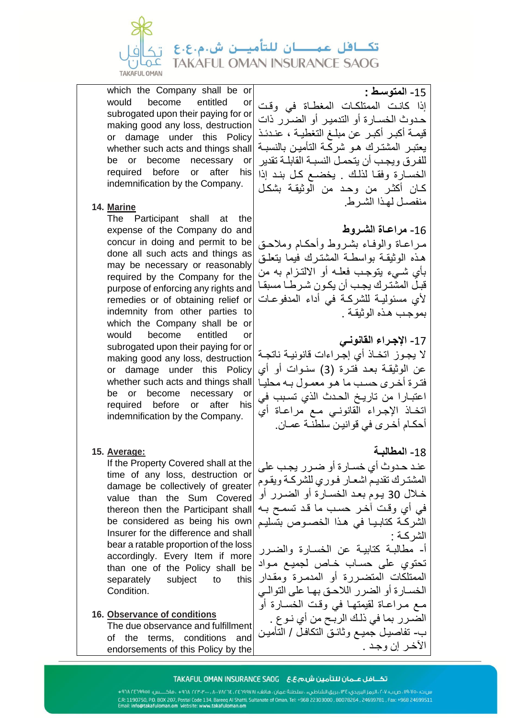

which the Company shall be or would become entitled or subrogated upon their paying for or making good any loss, destruction or damage under this Policy whether such acts and things shall be or become necessary or required before or after his indemnification by the Company.

#### **14. Marine**

The Participant shall at the expense of the Company do and concur in doing and permit to be done all such acts and things as may be necessary or reasonably required by the Company for the purpose of enforcing any rights and remedies or of obtaining relief or indemnity from other parties to which the Company shall be or would become entitled or subrogated upon their paying for or making good any loss, destruction or damage under this Policy whether such acts and things shall be or become necessary or required before or after his indemnification by the Company.

#### **15. Average:**

If the Property Covered shall at the time of any loss, destruction or damage be collectively of greater value than the Sum Covered thereon then the Participant shall be considered as being his own Insurer for the difference and shall bear a ratable proportion of the loss accordingly. Every Item if more than one of the Policy shall be separately subject to this Condition.

#### **16. Observance of conditions**

The due observance and fulfillment of the terms, conditions and endorsements of this Policy by the

-15 **المتوسـط :**  إذا كانـت الممتلكـات المغطـاة في وقـت حـدوث الخسـارة أو التدميـر أو الضـرر ذات قيمـة أكبـر أكبـر عن مبلـغ التغطيـة ، عنـدئـذ يعتبـر المشتـرك هـو شركـة التأميـن بالنسبـة للفـرق ويجـب أن يتحمـل النسبـة القابلـة تقدير الخسـارة وفقـا لذلـك . يخضـع كـل بنـد إذ ا كـان أكثـر من وحـد من الوثيقـة بشكـل منفصـل لهـذا الشـرط.

-16 **مراعـاة الشـروط**  مـراعـاة والوفـاء بشـروط وأحكـام ومالحـق هـذه الوثيقـة بواسطـة المشتـرك فيما يتعلـق بأي شـيء يتوجـب فعلـه أو االلتـزام به من قبـل المشتـرك يجـب أن يكـون شـرطـا مسبقـا ألي مسئوليـة للشركـة في أداء المدفوعـات بموجـب هـذه الوثيقـة .

-17 **اإلجـراء القانونـي**  ال يجـوز اتخـاذ أي إجـراءات قانونيـة ناتجـة عن الوثيقـة بعـد فتـرة )3( سنـوات أو أي فتـرة أخـرى حسـب ما هـو معمـول بـه محليـا اعتبـارا من تاريـخ الحـدث الذي تسـبب في اتخـاذ اإلجـراء القانونـي مـع مراعـاة أي أحكـام أخـرى في قوانيـن سلطنـة عمـان.

-18 **المطالبـة**  عنـد حـدوث أي خسـارة أو ضـرر يجـب على المشتـرك تقديـم اشعـار فـوري للشركـة ويقـوم خـالل 30 يـوم بعـد الخسـارة أو الضـرر أو في أي وقـت آخـر حسـب ما قـد تسمـح بـه الشركـة كتابـيـا في هـذا الخصـوص بتسليـم الشركـة : أ- مطالبـة كتابيـة عن الخسـارة والضـرر تحتوي على حسـاب خـاص لجميـع مـواد الممتلكات المتضـررة أو المدمـرة ومقـدار الخسـارة أو الضرر الالحـق بهـا على التوالـي مـع مـراعـاة لقيمتهـا في وقـت الخسـارة أو الضـرر بما في ذلـك الربـح من أي نـوع . ب - تفاصيـل جميـع وثائـق التكافـل / التأميـن اآلخـر إن وجـد .

####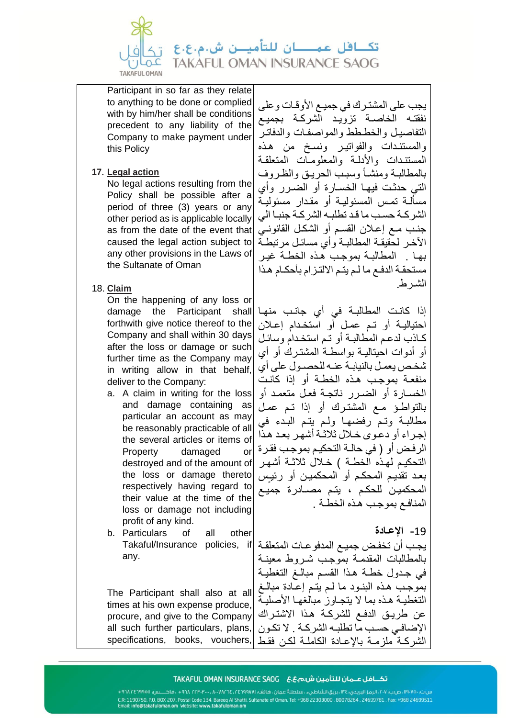

Participant in so far as they relate to anything to be done or complied with by him/her shall be conditions precedent to any liability of the Company to make payment under this Policy

## **17. Legal action**

No legal actions resulting from the Policy shall be possible after a period of three (3) years or any other period as is applicable locally as from the date of the event that caused the legal action subject to any other provisions in the Laws of the Sultanate of Oman

## 18. **Claim**

On the happening of any loss or damage the Participant shall forthwith give notice thereof to the Company and shall within 30 days after the loss or damage or such further time as the Company may in writing allow in that behalf, deliver to the Company:

- a. A claim in writing for the loss and damage containing as particular an account as may be reasonably practicable of all the several articles or items of Property damaged or destroyed and of the amount of the loss or damage thereto respectively having regard to their value at the time of the loss or damage not including profit of any kind.
- b. Particulars of all other Takaful/Insurance policies, if any.

The Participant shall also at all times at his own expense produce, procure, and give to the Company all such further particulars, plans, specifications, books, vouchers,

يجب على المشتـرك في جميـع األوقـات وعلى نفقتـه الخاصـة تزويـد الشركـة بجميـع التفاصيـل والخطـطط والمواصفـات والدفاتـر والمستنـدات والفواتيـر ونسـخ من هـذه المستنـدات واألدلـة والمعلومـات المتعلقـة بالمطالبـة ومنشـأ وسبـب الحريـق والظـروف التي حدثـت فيهـا الخسـارة أو الضـرر وأي مسألـة تمـس المسئوليـة أو مقـدار مسئوليـة الشركـة حسـب ما قـد تطلبـه الشركـة جنبـا الي جنـب مـع إعـالن القسـم أو الشكـل القانونـي اآلخـر لحقيقـة المطالبـة وأي مسائـل مرتبطـة بهـا . المطالبـة بموجـب هـذه الخطـة غيـر مستحقـة الدفـع ما لـم يتـم االلتـزام بأحكـام هـذا الشـرط.

إذا كانـت المطالبـة في أي جانـب منهـا احتياليـة أو تـم عمـل أو استخـدام إعـالن كـاذب لدعـم المطالبـة أو تـم استخـدام وسائـل أو أدوات احيتاليـة بواسطـة المشتـرك أو أي شخـص يعمـل بالنيابـة عنـه للحصـول على أي منفعـة بموجـب هـذه الخطـة أو إذا كانـت الخسـارة أو الضـرر ناتجـة فعـل متعمـد أو بالتواطـؤ مـع المشتـرك أو إذا تـم عمـل مطالبـة وتـم رفضهـا ولـم يتـم البـدء في إجـراء أو دعـوى خـالل ثالثـة أشهـر بعـد هـذا الرفـض أو ) في حالـة التحكيـم بموجـب فقـرة التحكيـم لهـذه الخطـة ( خـالل ثالثـة أشهـر بعـد تقديـم المحكـم أو المحكميـن أو رئيـٍس المحكميـن للحكـم ، يتـم مصـادرة جميـع المنافـع بموجـب هـذه الخطـة .

-19 **اإلعـادة** 

يجـب أن تخفـض جميـع المدفوعـات المتعلقـة بالمطالبات المقدمـة بموجـب شـروط معينـة في جـدول خطـة هـذا القسـم مبالـغ التغطيـة بموجـب هـذه البنـود ما لـم يتـم إعـادة مبالـغ التغطيـة هـذه بما لا يتجـاوز مبالغهـا الأصليـة عن طريـق الدفـع للشركـة هـذا االشتـراك اإلضافـي حسـب ما تطلبـه الشركـة . ال تكـون الشركـة ملزمـة باإلعـادة الكاملـة لكـن فقـط

####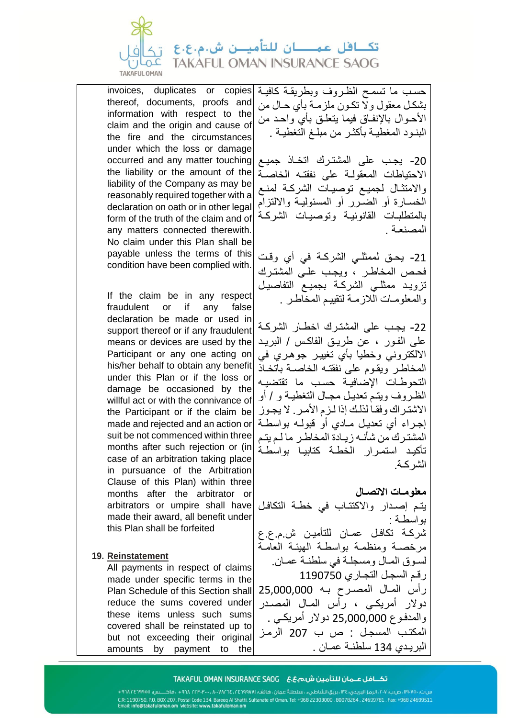

invoices, duplicates or copies thereof, documents, proofs and information with respect to the claim and the origin and cause of the fire and the circumstances under which the loss or damage occurred and any matter touching the liability or the amount of the liability of the Company as may be reasonably required together with a declaration on oath or in other legal form of the truth of the claim and of any matters connected therewith. No claim under this Plan shall be payable unless the terms of this condition have been complied with.

If the claim be in any respect fraudulent or if any false declaration be made or used in support thereof or if any fraudulent means or devices are used by the Participant or any one acting on his/her behalf to obtain any benefit under this Plan or if the loss or damage be occasioned by the willful act or with the connivance of the Participant or if the claim be made and rejected and an action or suit be not commenced within three months after such rejection or (in case of an arbitration taking place in pursuance of the Arbitration Clause of this Plan) within three months after the arbitrator or arbitrators or umpire shall have made their award, all benefit under this Plan shall be forfeited

## **19. Reinstatement**

All payments in respect of claims made under specific terms in the Plan Schedule of this Section shall reduce the sums covered under these items unless such sums covered shall be reinstated up to but not exceeding their original amounts by payment to the

حسـب ما تسمـح الظـروف وبطريقـة كافيـة بشكـل معقول وال تكـون ملزمـة بأي حـال من األحـوال باإلنفـاق فيما يتعلـق بأي واحـد من البنـود المغطيـة بأكثـر من مبلـغ التغطيـة .

-20 يجـب على المشتـرك اتخـاذ جميـع االحتياطات المعقولـة على نفقتـه الخاصـة واالمتثـال لجميـع توصيـات الشركـة لمنـع الخسـارة أو الضـرر أو المسئوليـة وااللتزام بالمتطلبـات القانونيـة وتوصيـات الشركـة المصنعـة .

-21 يحـق لممثلـي الشركـة في أي وقـت فحـص المخاطـر ، ويجـب علـى المشتـرك تزويـد ممثلـي الشركـة بجميـع التفاصيـل والمعلومـات الالزمـة لتقييـم المخاطـر .

-22 يجـب على المشتـرك اخطـار الشركـة على الفـور ، عن طريـق الفاكـس / البريـد االلكتروني وخطيا بأي تغييـر جوهـري في المخاطـر ويقـوم على نفقتـه الخاصـة باتخـاذ التحوطـات الإضافيـة حسب ما تقتضيـه الظـروف ويتـم تعديـل مجـال التغطيـة و / أو االشتـراك وفقـا لذلـك إذا لـزم األمـر. ال يجـوز إجـراء أي تعديـل مـادي أو قبولـه بواسطـة المشتـرك من شأنـه زيـادة المخاطـر ما لـم يتـم تأكيـد استمـرار الخطـة كتابيـا بواسطـة الشركـة.

**معلومـات االتصـال**  يتم إصدار والاكتتاب في خطـة التكافل بواسطـة : شركـة تكافـل عمـان للتأميـن ش.م.ع.ع مرخصـة ومنظمـة بواسطـة الهيئـة العامـة لسـوق المـال ومسجلـة في سلطنـة عمـان. رقـم السجـل التجـاري 1190750 رأس المـال المصـرح بـه 25,000,000 دوالر أمريكـي ، رأس المـال المصـدر والمدفـوع 25,000,000 دوالر أمريكـي . المكتـب المسجـل : ص ب 207 الرمـز البريـدي 134 سلطنـة عمـان .

#### تكافل علمان للتأمين ش.م.ع.ع. TAKAFUL OMAN INSURANCE SAOG E.E.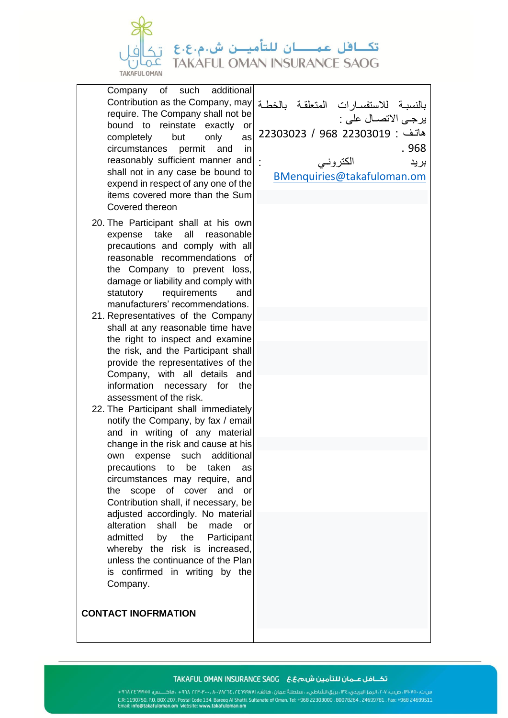

Company of such additional require. The Company shall not be bound to reinstate exactly or completely but only as circumstances permit and in reasonably sufficient manner and | . shall not in any case be bound to expend in respect of any one of the items covered more than the Sum Covered thereon

- 20. The Participant shall at his own expense take all reasonable precautions and comply with all reasonable recommendations of the Company to prevent loss, damage or liability and comply with statutory requirements and manufacturers' recommendations.
- 21. Representatives of the Company shall at any reasonable time have the right to inspect and examine the risk, and the Participant shall provide the representatives of the Company, with all details and information necessary for the assessment of the risk.
- 22. The Participant shall immediately notify the Company, by fax / email and in writing of any material change in the risk and cause at his own expense such additional precautions to be taken as circumstances may require, and the scope of cover and or Contribution shall, if necessary, be adjusted accordingly. No material alteration shall be made or admitted by the Participant whereby the risk is increased, unless the continuance of the Plan is confirmed in writing by the Company.

بالنسبـة لالستفسـارات المتعلقـة بالخطـة Contribution as the Company, may يرجـى االتصـال على : هاتـف : 22303019 968 / 22303023 . 968 بريد الكترونـي : [BMenquiries@takafuloman.om](mailto:BMenquiries@takafuloman.om)

#### **CONTACT INOFRMATION**

####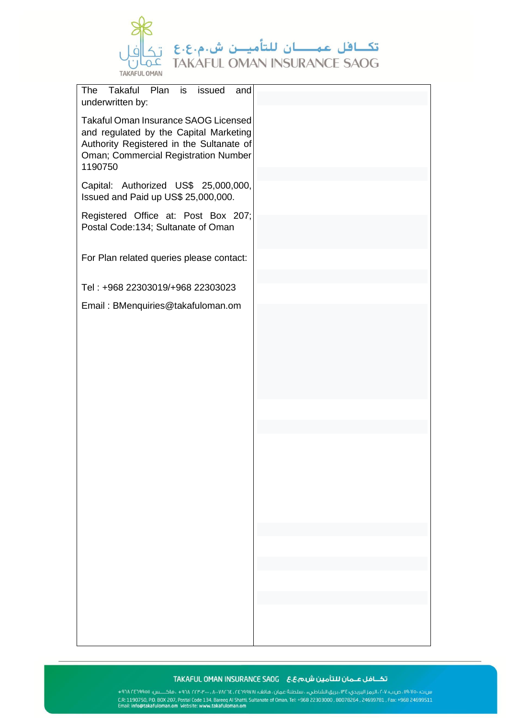

The Takaful Plan is issued and underwritten by: Takaful Oman Insurance SAOG Licensed and regulated by the Capital Marketing Authority Registered in the Sultanate of Oman; Commercial Registration Number 1190750 Capital: Authorized US\$ 25,000,000, Issued and Paid up US\$ 25,000,000. Registered Office at: Post Box 207; Postal Code:134; Sultanate of Oman For Plan related queries please contact: Tel : +968 22303019/+968 22303023 Email : BMenquiries@takafuloman.om

#### 

س:ت: ١٩٠٧٥، ص.ب: ٢٠٢، الرمز البريدي: ٣٤، بريق الشاطيء ، سلطنة عمان ، هاتف: ٢٨١٩٧٨، ٢٤١٩٧٨، ٢٣٠٣٠، ٣١٠ ، فاكـــس: ٣٩٦٨ ٢٣٠١، ٢٩٠ د المستخدم المستخدم المستخدم المستخدم المستخدم المستخدم المستخدم المستخدم المستخدم المستخدم المستخدم المستخدم<br>Enail: info@takafuloman.om Website: www.takafuloman.om<br>Email: info@takafuloman.om Website: www.takafuloman.om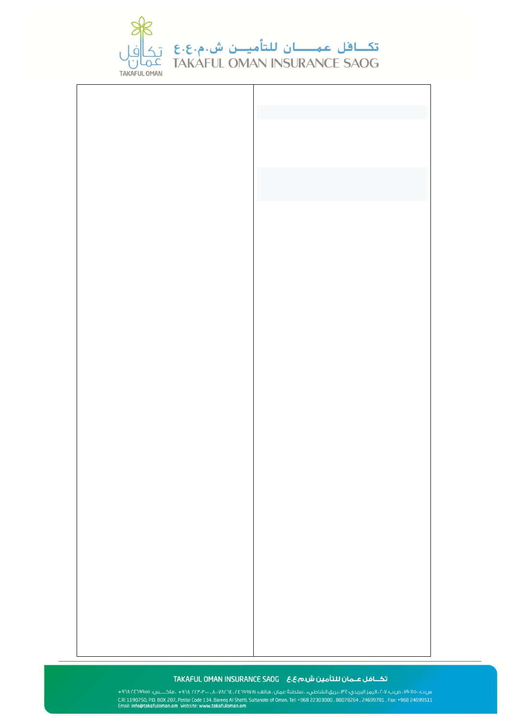

# تكــافل عمــــان للتأميــن ش.م.ع.ع<br>TAKAFUL OMAN INSURANCE SAOG

#### تكلفل علمان للتأمين ش.م.ع.ع. TAKAFUL OMAN INSURANCE SAOG